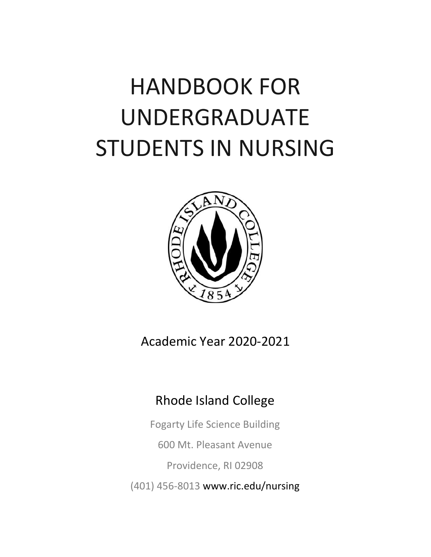# HANDBOOK FOR UNDERGRADUATE STUDENTS IN NURSING



Academic Year 2020-2021

# Rhode Island College

Fogarty Life Science Building 600 Mt. Pleasant Avenue Providence, RI 02908 (401) 456-8013 www.ric.edu/nursing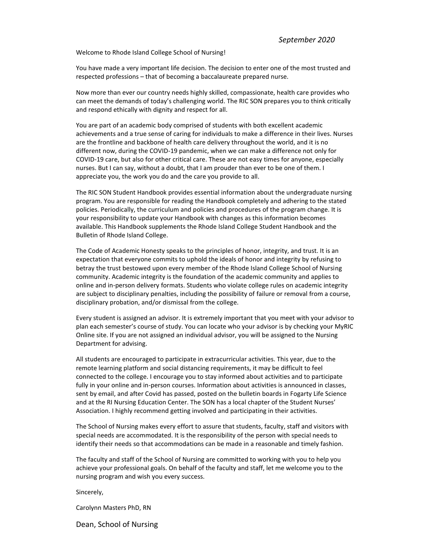Welcome to Rhode Island College School of Nursing!

You have made a very important life decision. The decision to enter one of the most trusted and respected professions – that of becoming a baccalaureate prepared nurse.

Now more than ever our country needs highly skilled, compassionate, health care provides who can meet the demands of today's challenging world. The RIC SON prepares you to think critically and respond ethically with dignity and respect for all.

You are part of an academic body comprised of students with both excellent academic achievements and a true sense of caring for individuals to make a difference in their lives. Nurses are the frontline and backbone of health care delivery throughout the world, and it is no different now, during the COVID-19 pandemic, when we can make a difference not only for COVID-19 care, but also for other critical care. These are not easy times for anyone, especially nurses. But I can say, without a doubt, that I am prouder than ever to be one of them. I appreciate you, the work you do and the care you provide to all.

The RIC SON Student Handbook provides essential information about the undergraduate nursing program. You are responsible for reading the Handbook completely and adhering to the stated policies. Periodically, the curriculum and policies and procedures of the program change. It is your responsibility to update your Handbook with changes as this information becomes available. This Handbook supplements the Rhode Island College Student Handbook and the Bulletin of Rhode Island College.

The Code of Academic Honesty speaks to the principles of honor, integrity, and trust. It is an expectation that everyone commits to uphold the ideals of honor and integrity by refusing to betray the trust bestowed upon every member of the Rhode Island College School of Nursing community. Academic integrity is the foundation of the academic community and applies to online and in-person delivery formats. Students who violate college rules on academic integrity are subject to disciplinary penalties, including the possibility of failure or removal from a course, disciplinary probation, and/or dismissal from the college.

Every student is assigned an advisor. It is extremely important that you meet with your advisor to plan each semester's course of study. You can locate who your advisor is by checking your MyRIC Online site. If you are not assigned an individual advisor, you will be assigned to the Nursing Department for advising.

All students are encouraged to participate in extracurricular activities. This year, due to the remote learning platform and social distancing requirements, it may be difficult to feel connected to the college. I encourage you to stay informed about activities and to participate fully in your online and in-person courses. Information about activities is announced in classes, sent by email, and after Covid has passed, posted on the bulletin boards in Fogarty Life Science and at the RI Nursing Education Center. The SON has a local chapter of the Student Nurses' Association. I highly recommend getting involved and participating in their activities.

The School of Nursing makes every effort to assure that students, faculty, staff and visitors with special needs are accommodated. It is the responsibility of the person with special needs to identify their needs so that accommodations can be made in a reasonable and timely fashion.

The faculty and staff of the School of Nursing are committed to working with you to help you achieve your professional goals. On behalf of the faculty and staff, let me welcome you to the nursing program and wish you every success.

Sincerely,

Carolynn Masters PhD, RN

Dean, School of Nursing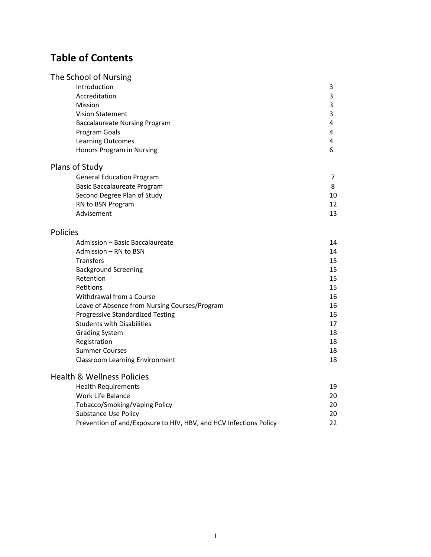# **Table of Contents**

| The School of Nursing         |   |
|-------------------------------|---|
| Introduction                  | 3 |
| Accreditation                 | 3 |
| <b>Mission</b>                | 3 |
| <b>Vision Statement</b>       | 3 |
| Baccalaureate Nursing Program | 4 |
| Program Goals                 | 4 |
| <b>Learning Outcomes</b>      | 4 |
| Honors Program in Nursing     | 6 |

# Plans of Study

| General Education Program   |    |
|-----------------------------|----|
| Basic Baccalaureate Program | 8. |
| Second Degree Plan of Study | 10 |
| RN to BSN Program           | 12 |
| Advisement                  | 13 |

# Policies

| Admission - Basic Baccalaureate               | 14 |
|-----------------------------------------------|----|
| Admission – RN to BSN                         | 14 |
| <b>Transfers</b>                              | 15 |
| <b>Background Screening</b>                   | 15 |
| Retention                                     | 15 |
| Petitions                                     | 15 |
| Withdrawal from a Course                      | 16 |
| Leave of Absence from Nursing Courses/Program | 16 |
| Progressive Standardized Testing              | 16 |
| <b>Students with Disabilities</b>             | 17 |
| <b>Grading System</b>                         | 18 |
| Registration                                  | 18 |
| <b>Summer Courses</b>                         | 18 |
| Classroom Learning Environment                | 18 |
|                                               |    |

# Health & Wellness Policies

| Health Requirements                                               | 19 |
|-------------------------------------------------------------------|----|
| Work Life Balance                                                 | 20 |
| Tobacco/Smoking/Vaping Policy                                     | 20 |
| Substance Use Policy                                              | 20 |
| Prevention of and/Exposure to HIV, HBV, and HCV Infections Policy | つつ |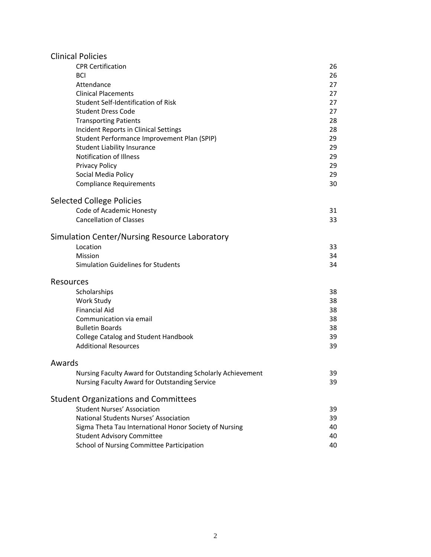| <b>Clinical Policies</b>                                    |    |
|-------------------------------------------------------------|----|
| <b>CPR Certification</b>                                    | 26 |
| <b>BCI</b>                                                  | 26 |
| Attendance                                                  | 27 |
| <b>Clinical Placements</b>                                  | 27 |
| Student Self-Identification of Risk                         | 27 |
| <b>Student Dress Code</b>                                   | 27 |
| <b>Transporting Patients</b>                                | 28 |
| Incident Reports in Clinical Settings                       | 28 |
| Student Performance Improvement Plan (SPIP)                 | 29 |
| <b>Student Liability Insurance</b>                          | 29 |
| Notification of Illness                                     | 29 |
| <b>Privacy Policy</b>                                       | 29 |
| Social Media Policy                                         | 29 |
| <b>Compliance Requirements</b>                              | 30 |
| <b>Selected College Policies</b>                            |    |
| Code of Academic Honesty                                    | 31 |
| <b>Cancellation of Classes</b>                              | 33 |
| Simulation Center/Nursing Resource Laboratory               |    |
| Location                                                    | 33 |
| Mission                                                     | 34 |
| Simulation Guidelines for Students                          | 34 |
| Resources                                                   |    |
| Scholarships                                                | 38 |
| Work Study                                                  | 38 |
| <b>Financial Aid</b>                                        | 38 |
| Communication via email                                     | 38 |
| <b>Bulletin Boards</b>                                      | 38 |
| <b>College Catalog and Student Handbook</b>                 | 39 |
| <b>Additional Resources</b>                                 | 39 |
| Awards                                                      |    |
| Nursing Faculty Award for Outstanding Scholarly Achievement | 39 |
| Nursing Faculty Award for Outstanding Service               | 39 |
| <b>Student Organizations and Committees</b>                 |    |
| <b>Student Nurses' Association</b>                          | 39 |
| National Students Nurses' Association                       | 39 |
| Sigma Theta Tau International Honor Society of Nursing      | 40 |
| <b>Student Advisory Committee</b>                           | 40 |
| School of Nursing Committee Participation                   | 40 |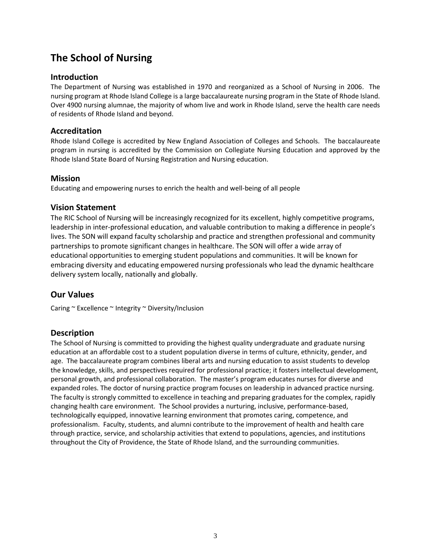# **The School of Nursing**

# **Introduction**

The Department of Nursing was established in 1970 and reorganized as a School of Nursing in 2006. The nursing program at Rhode Island College is a large baccalaureate nursing program in the State of Rhode Island. Over 4900 nursing alumnae, the majority of whom live and work in Rhode Island, serve the health care needs of residents of Rhode Island and beyond.

## **Accreditation**

Rhode Island College is accredited by New England Association of Colleges and Schools. The baccalaureate program in nursing is accredited by the Commission on Collegiate Nursing Education and approved by the Rhode Island State Board of Nursing Registration and Nursing education.

#### **Mission**

Educating and empowering nurses to enrich the health and well-being of all people

# **Vision Statement**

The RIC School of Nursing will be increasingly recognized for its excellent, highly competitive programs, leadership in inter-professional education, and valuable contribution to making a difference in people's lives. The SON will expand faculty scholarship and practice and strengthen professional and community partnerships to promote significant changes in healthcare. The SON will offer a wide array of educational opportunities to emerging student populations and communities. It will be known for embracing diversity and educating empowered nursing professionals who lead the dynamic healthcare delivery system locally, nationally and globally.

# **Our Values**

Caring ~ Excellence ~ Integrity ~ Diversity/Inclusion

# **Description**

The School of Nursing is committed to providing the highest quality undergraduate and graduate nursing education at an affordable cost to a student population diverse in terms of culture, ethnicity, gender, and age. The baccalaureate program combines liberal arts and nursing education to assist students to develop the knowledge, skills, and perspectives required for professional practice; it fosters intellectual development, personal growth, and professional collaboration. The master's program educates nurses for diverse and expanded roles. The doctor of nursing practice program focuses on leadership in advanced practice nursing. The faculty is strongly committed to excellence in teaching and preparing graduates for the complex, rapidly changing health care environment. The School provides a nurturing, inclusive, performance-based, technologically equipped, innovative learning environment that promotes caring, competence, and professionalism. Faculty, students, and alumni contribute to the improvement of health and health care through practice, service, and scholarship activities that extend to populations, agencies, and institutions throughout the City of Providence, the State of Rhode Island, and the surrounding communities.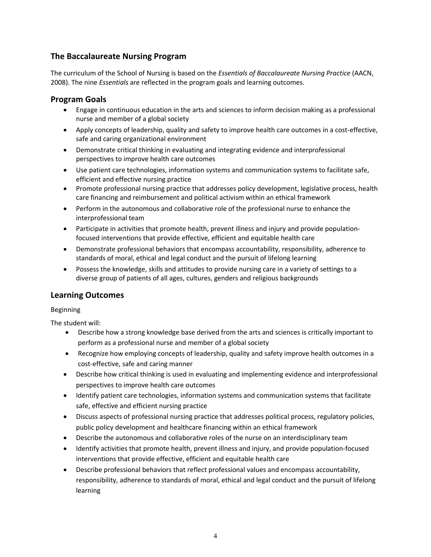# **The Baccalaureate Nursing Program**

The curriculum of the School of Nursing is based on the *Essentials of Baccalaureate Nursing Practice* (AACN, 2008). The nine *Essentials* are reflected in the program goals and learning outcomes.

## **Program Goals**

- Engage in continuous education in the arts and sciences to inform decision making as a professional nurse and member of a global society
- Apply concepts of leadership, quality and safety to improve health care outcomes in a cost-effective, safe and caring organizational environment
- Demonstrate critical thinking in evaluating and integrating evidence and interprofessional perspectives to improve health care outcomes
- Use patient care technologies, information systems and communication systems to facilitate safe, efficient and effective nursing practice
- Promote professional nursing practice that addresses policy development, legislative process, health care financing and reimbursement and political activism within an ethical framework
- Perform in the autonomous and collaborative role of the professional nurse to enhance the interprofessional team
- Participate in activities that promote health, prevent illness and injury and provide populationfocused interventions that provide effective, efficient and equitable health care
- Demonstrate professional behaviors that encompass accountability, responsibility, adherence to standards of moral, ethical and legal conduct and the pursuit of lifelong learning
- Possess the knowledge, skills and attitudes to provide nursing care in a variety of settings to a diverse group of patients of all ages, cultures, genders and religious backgrounds

# **Learning Outcomes**

#### Beginning

The student will:

- Describe how a strong knowledge base derived from the arts and sciences is critically important to perform as a professional nurse and member of a global society
- Recognize how employing concepts of leadership, quality and safety improve health outcomes in a cost-effective, safe and caring manner
- Describe how critical thinking is used in evaluating and implementing evidence and interprofessional perspectives to improve health care outcomes
- Identify patient care technologies, information systems and communication systems that facilitate safe, effective and efficient nursing practice
- Discuss aspects of professional nursing practice that addresses political process, regulatory policies, public policy development and healthcare financing within an ethical framework
- Describe the autonomous and collaborative roles of the nurse on an interdisciplinary team
- Identify activities that promote health, prevent illness and injury, and provide population-focused interventions that provide effective, efficient and equitable health care
- Describe professional behaviors that reflect professional values and encompass accountability, responsibility, adherence to standards of moral, ethical and legal conduct and the pursuit of lifelong learning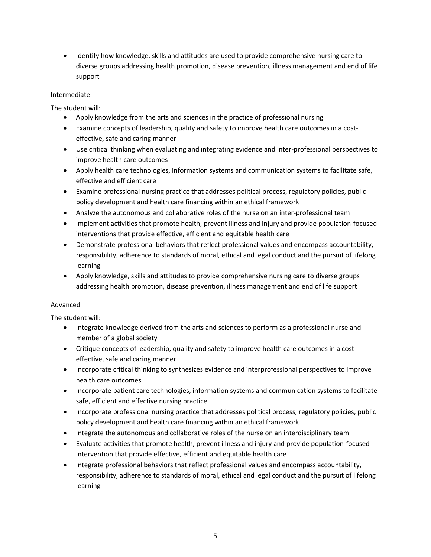• Identify how knowledge, skills and attitudes are used to provide comprehensive nursing care to diverse groups addressing health promotion, disease prevention, illness management and end of life support

#### Intermediate

The student will:

- Apply knowledge from the arts and sciences in the practice of professional nursing
- Examine concepts of leadership, quality and safety to improve health care outcomes in a costeffective, safe and caring manner
- Use critical thinking when evaluating and integrating evidence and inter-professional perspectives to improve health care outcomes
- Apply health care technologies, information systems and communication systems to facilitate safe, effective and efficient care
- Examine professional nursing practice that addresses political process, regulatory policies, public policy development and health care financing within an ethical framework
- Analyze the autonomous and collaborative roles of the nurse on an inter-professional team
- Implement activities that promote health, prevent illness and injury and provide population-focused interventions that provide effective, efficient and equitable health care
- Demonstrate professional behaviors that reflect professional values and encompass accountability, responsibility, adherence to standards of moral, ethical and legal conduct and the pursuit of lifelong learning
- Apply knowledge, skills and attitudes to provide comprehensive nursing care to diverse groups addressing health promotion, disease prevention, illness management and end of life support

#### Advanced

The student will:

- Integrate knowledge derived from the arts and sciences to perform as a professional nurse and member of a global society
- Critique concepts of leadership, quality and safety to improve health care outcomes in a costeffective, safe and caring manner
- Incorporate critical thinking to synthesizes evidence and interprofessional perspectives to improve health care outcomes
- Incorporate patient care technologies, information systems and communication systems to facilitate safe, efficient and effective nursing practice
- Incorporate professional nursing practice that addresses political process, regulatory policies, public policy development and health care financing within an ethical framework
- Integrate the autonomous and collaborative roles of the nurse on an interdisciplinary team
- Evaluate activities that promote health, prevent illness and injury and provide population-focused intervention that provide effective, efficient and equitable health care
- Integrate professional behaviors that reflect professional values and encompass accountability, responsibility, adherence to standards of moral, ethical and legal conduct and the pursuit of lifelong learning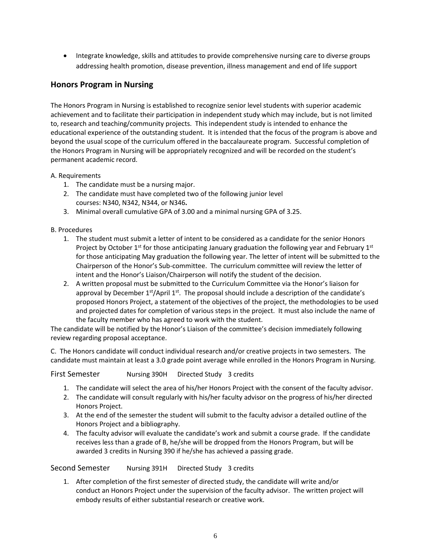• Integrate knowledge, skills and attitudes to provide comprehensive nursing care to diverse groups addressing health promotion, disease prevention, illness management and end of life support

## **Honors Program in Nursing**

The Honors Program in Nursing is established to recognize senior level students with superior academic achievement and to facilitate their participation in independent study which may include, but is not limited to, research and teaching/community projects. This independent study is intended to enhance the educational experience of the outstanding student. It is intended that the focus of the program is above and beyond the usual scope of the curriculum offered in the baccalaureate program. Successful completion of the Honors Program in Nursing will be appropriately recognized and will be recorded on the student's permanent academic record.

#### A. Requirements

- 1. The candidate must be a nursing major.
- 2. The candidate must have completed two of the following junior level courses: N340, N342, N344, or N346**.**
- 3. Minimal overall cumulative GPA of 3.00 and a minimal nursing GPA of 3.25.

#### B. Procedures

- 1. The student must submit a letter of intent to be considered as a candidate for the senior Honors Project by October 1<sup>st</sup> for those anticipating January graduation the following year and February 1<sup>st</sup> for those anticipating May graduation the following year. The letter of intent will be submitted to the Chairperson of the Honor's Sub-committee. The curriculum committee will review the letter of intent and the Honor's Liaison/Chairperson will notify the student of the decision.
- 2. A written proposal must be submitted to the Curriculum Committee via the Honor's liaison for approval by December  $1<sup>st</sup>/April 1<sup>st</sup>$ . The proposal should include a description of the candidate's proposed Honors Project, a statement of the objectives of the project, the methodologies to be used and projected dates for completion of various steps in the project. It must also include the name of the faculty member who has agreed to work with the student.

The candidate will be notified by the Honor's Liaison of the committee's decision immediately following review regarding proposal acceptance.

C. The Honors candidate will conduct individual research and/or creative projects in two semesters. The candidate must maintain at least a 3.0 grade point average while enrolled in the Honors Program in Nursing.

First Semester Nursing 390H Directed Study 3 credits

- 1. The candidate will select the area of his/her Honors Project with the consent of the faculty advisor.
- 2. The candidate will consult regularly with his/her faculty advisor on the progress of his/her directed Honors Project.
- 3. At the end of the semester the student will submit to the faculty advisor a detailed outline of the Honors Project and a bibliography.
- 4. The faculty advisor will evaluate the candidate's work and submit a course grade. If the candidate receives less than a grade of B, he/she will be dropped from the Honors Program, but will be awarded 3 credits in Nursing 390 if he/she has achieved a passing grade.

Second Semester Nursing 391H Directed Study 3 credits

1. After completion of the first semester of directed study, the candidate will write and/or conduct an Honors Project under the supervision of the faculty advisor. The written project will embody results of either substantial research or creative work.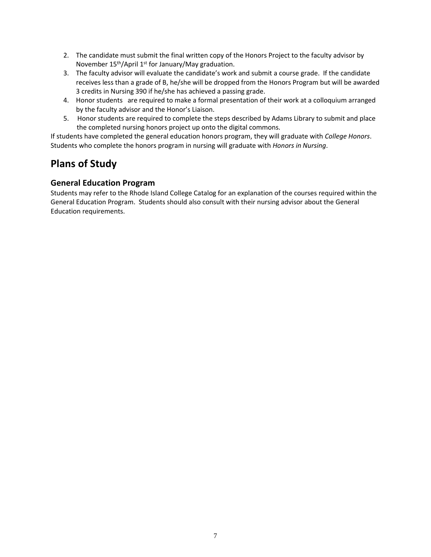- 2. The candidate must submit the final written copy of the Honors Project to the faculty advisor by November 15<sup>th</sup>/April 1<sup>st</sup> for January/May graduation.
- 3. The faculty advisor will evaluate the candidate's work and submit a course grade. If the candidate receives less than a grade of B, he/she will be dropped from the Honors Program but will be awarded 3 credits in Nursing 390 if he/she has achieved a passing grade.
- 4. Honor students are required to make a formal presentation of their work at a colloquium arranged by the faculty advisor and the Honor's Liaison.
- 5. Honor students are required to complete the steps described by Adams Library to submit and place the completed nursing honors project up onto the digital commons.

If students have completed the general education honors program, they will graduate with *College Honors*. Students who complete the honors program in nursing will graduate with *Honors in Nursing*.

# **Plans of Study**

# **General Education Program**

Students may refer to the Rhode Island College Catalog for an explanation of the courses required within the General Education Program. Students should also consult with their nursing advisor about the General Education requirements.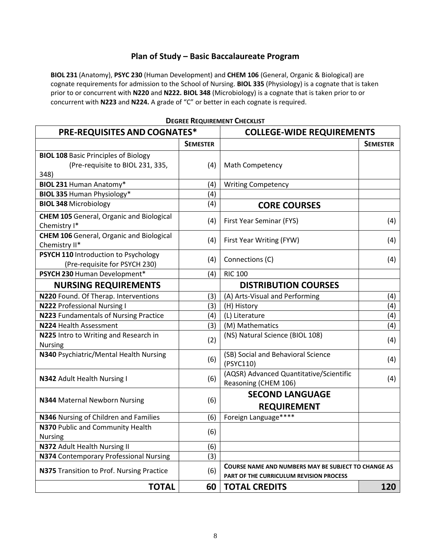# **Plan of Study – Basic Baccalaureate Program**

**BIOL 231** (Anatomy), **PSYC 230** (Human Development) and **CHEM 106** (General, Organic & Biological) are cognate requirements for admission to the School of Nursing. **BIOL 335** (Physiology) is a cognate that is taken prior to or concurrent with **N220** and **N222. BIOL 348** (Microbiology) is a cognate that is taken prior to or concurrent with **N223** and **N224.** A grade of "C" or better in each cognate is required.

| <b>PRE-REQUISITES AND COGNATES*</b>                                   |                 | <b>COLLEGE-WIDE REQUIREMENTS</b>                                |                 |
|-----------------------------------------------------------------------|-----------------|-----------------------------------------------------------------|-----------------|
|                                                                       | <b>SEMESTER</b> |                                                                 | <b>SEMESTER</b> |
| <b>BIOL 108 Basic Principles of Biology</b>                           |                 |                                                                 |                 |
| (Pre-requisite to BIOL 231, 335,                                      | (4)             | Math Competency                                                 |                 |
| 348)                                                                  |                 |                                                                 |                 |
| <b>BIOL 231 Human Anatomy*</b>                                        | (4)             | <b>Writing Competency</b>                                       |                 |
| <b>BIOL 335 Human Physiology*</b>                                     | (4)             |                                                                 |                 |
| <b>BIOL 348 Microbiology</b>                                          | (4)             | <b>CORE COURSES</b>                                             |                 |
| <b>CHEM 105</b> General, Organic and Biological<br>Chemistry I*       | (4)             | First Year Seminar (FYS)                                        | (4)             |
| <b>CHEM 106</b> General, Organic and Biological<br>Chemistry II*      | (4)             | First Year Writing (FYW)                                        | (4)             |
| PSYCH 110 Introduction to Psychology<br>(Pre-requisite for PSYCH 230) | (4)             | Connections (C)                                                 | (4)             |
| PSYCH 230 Human Development*                                          | (4)             | <b>RIC 100</b>                                                  |                 |
| <b>NURSING REQUIREMENTS</b>                                           |                 | <b>DISTRIBUTION COURSES</b>                                     |                 |
| N220 Found. Of Therap. Interventions                                  | (3)             | (A) Arts-Visual and Performing                                  | (4)             |
| <b>N222 Professional Nursing I</b>                                    | (3)             | (H) History                                                     | (4)             |
| N223 Fundamentals of Nursing Practice                                 | (4)             | (L) Literature                                                  | (4)             |
| N224 Health Assessment                                                | (3)             | (M) Mathematics                                                 | (4)             |
| N225 Intro to Writing and Research in                                 | (2)             | (NS) Natural Science (BIOL 108)                                 | (4)             |
| <b>Nursing</b>                                                        |                 |                                                                 |                 |
| N340 Psychiatric/Mental Health Nursing                                | (6)             | (SB) Social and Behavioral Science<br>(PSYC110)                 | (4)             |
| N342 Adult Health Nursing I                                           | (6)             | (AQSR) Advanced Quantitative/Scientific<br>Reasoning (CHEM 106) | (4)             |
| N344 Maternal Newborn Nursing                                         | (6)             | <b>SECOND LANGUAGE</b><br><b>REQUIREMENT</b>                    |                 |
| N346 Nursing of Children and Families                                 | (6)             | Foreign Language****                                            |                 |
| N370 Public and Community Health                                      |                 |                                                                 |                 |
| Nursing                                                               | (6)             |                                                                 |                 |
| N372 Adult Health Nursing II                                          | (6)             |                                                                 |                 |
| N374 Contemporary Professional Nursing                                | (3)             |                                                                 |                 |
|                                                                       |                 | <b>COURSE NAME AND NUMBERS MAY BE SUBJECT TO CHANGE AS</b>      |                 |
| N375 Transition to Prof. Nursing Practice                             | (6)             | PART OF THE CURRICULUM REVISION PROCESS                         |                 |
| <b>TOTAL</b>                                                          | 60              | <b>TOTAL CREDITS</b>                                            | 120             |

#### **DEGREE REQUIREMENT CHECKLIST**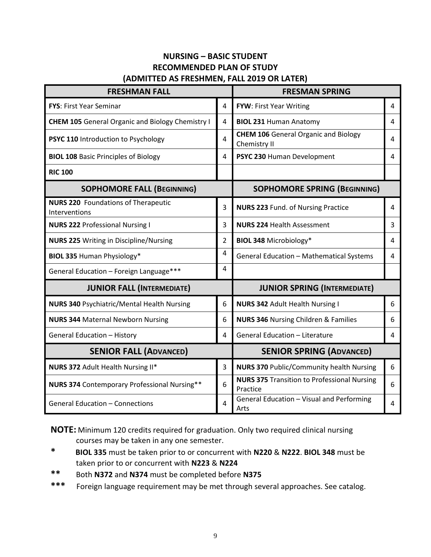# **NURSING – BASIC STUDENT RECOMMENDED PLAN OF STUDY (ADMITTED AS FRESHMEN, FALL 2019 OR LATER)**

| <b>FRESHMAN FALL</b>                                        |               | <b>FRESMAN SPRING</b>                                          |   |  |
|-------------------------------------------------------------|---------------|----------------------------------------------------------------|---|--|
| <b>FYS: First Year Seminar</b>                              | 4             | <b>FYW: First Year Writing</b>                                 | 4 |  |
| <b>CHEM 105</b> General Organic and Biology Chemistry I     | 4             | <b>BIOL 231 Human Anatomy</b>                                  | 4 |  |
| PSYC 110 Introduction to Psychology                         | 4             | <b>CHEM 106 General Organic and Biology</b><br>Chemistry II    | 4 |  |
| <b>BIOL 108 Basic Principles of Biology</b>                 | 4             | PSYC 230 Human Development                                     | 4 |  |
| <b>RIC 100</b>                                              |               |                                                                |   |  |
| <b>SOPHOMORE FALL (BEGINNING)</b>                           |               | <b>SOPHOMORE SPRING (BEGINNING)</b>                            |   |  |
| <b>NURS 220 Foundations of Therapeutic</b><br>Interventions | 3             | <b>NURS 223 Fund. of Nursing Practice</b>                      | 4 |  |
| <b>NURS 222 Professional Nursing I</b>                      | 3             | <b>NURS 224 Health Assessment</b>                              | 3 |  |
| <b>NURS 225 Writing in Discipline/Nursing</b>               | $\mathcal{P}$ | <b>BIOL 348 Microbiology*</b>                                  | 4 |  |
| <b>BIOL 335 Human Physiology*</b>                           | 4             | General Education - Mathematical Systems                       | 4 |  |
| General Education - Foreign Language***                     | 4             |                                                                |   |  |
| <b>JUNIOR FALL (INTERMEDIATE)</b>                           |               | <b>JUNIOR SPRING (INTERMEDIATE)</b>                            |   |  |
| <b>NURS 340 Psychiatric/Mental Health Nursing</b>           | 6             | <b>NURS 342 Adult Health Nursing I</b>                         | 6 |  |
| <b>NURS 344 Maternal Newborn Nursing</b>                    | 6             | <b>NURS 346 Nursing Children &amp; Families</b>                | 6 |  |
| <b>General Education - History</b>                          | 4             | General Education - Literature                                 | 4 |  |
| <b>SENIOR FALL (ADVANCED)</b>                               |               | <b>SENIOR SPRING (ADVANCED)</b>                                |   |  |
| NURS 372 Adult Health Nursing II*                           | 3             | <b>NURS 370 Public/Community health Nursing</b>                | 6 |  |
| NURS 374 Contemporary Professional Nursing**                | 6             | <b>NURS 375 Transition to Professional Nursing</b><br>Practice | 6 |  |
| <b>General Education - Connections</b>                      | 4             | General Education - Visual and Performing<br>Arts              | 4 |  |

**NOTE:** Minimum 120 credits required for graduation. Only two required clinical nursing courses may be taken in any one semester.

- **\* BIOL 335** must be taken prior to or concurrent with **N220** & **N222**. **BIOL 348** must be taken prior to or concurrent with **N223** & **N224**
- **\*\*** Both **N372** and **N374** must be completed before **N375**
- **\*\*\*** Foreign language requirement may be met through several approaches. See catalog.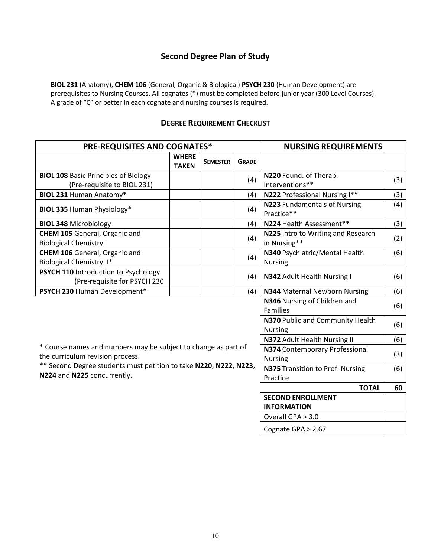# **Second Degree Plan of Study**

**BIOL 231** (Anatomy), **CHEM 106** (General, Organic & Biological) **PSYCH 230** (Human Development) are prerequisites to Nursing Courses. All cognates (\*) must be completed before junior year (300 Level Courses). A grade of "C" or better in each cognate and nursing courses is required.

| <b>PRE-REQUISITES AND COGNATES*</b>                                                                |                              |                 | <b>NURSING REQUIREMENTS</b> |                                                    |     |
|----------------------------------------------------------------------------------------------------|------------------------------|-----------------|-----------------------------|----------------------------------------------------|-----|
|                                                                                                    | <b>WHERE</b><br><b>TAKEN</b> | <b>SEMESTER</b> | <b>GRADE</b>                |                                                    |     |
| <b>BIOL 108 Basic Principles of Biology</b><br>(Pre-requisite to BIOL 231)                         |                              |                 | (4)                         | N220 Found. of Therap.<br>Interventions**          | (3) |
| <b>BIOL 231 Human Anatomy*</b>                                                                     |                              |                 | (4)                         | N222 Professional Nursing I**                      | (3) |
| <b>BIOL 335 Human Physiology*</b>                                                                  |                              |                 | (4)                         | <b>N223</b> Fundamentals of Nursing<br>Practice**  | (4) |
| <b>BIOL 348 Microbiology</b>                                                                       |                              |                 | (4)                         | N224 Health Assessment**                           | (3) |
| <b>CHEM 105</b> General, Organic and<br><b>Biological Chemistry I</b>                              |                              |                 | (4)                         | N225 Intro to Writing and Research<br>in Nursing** | (2) |
| <b>CHEM 106 General, Organic and</b><br><b>Biological Chemistry II*</b>                            |                              |                 | (4)                         | N340 Psychiatric/Mental Health<br><b>Nursing</b>   | (6) |
| PSYCH 110 Introduction to Psychology<br>(Pre-requisite for PSYCH 230                               |                              |                 | (4)                         | N342 Adult Health Nursing I                        | (6) |
| PSYCH 230 Human Development*                                                                       |                              |                 | (4)                         | N344 Maternal Newborn Nursing                      | (6) |
|                                                                                                    |                              |                 |                             | N346 Nursing of Children and<br>Families           | (6) |
|                                                                                                    |                              |                 |                             | N370 Public and Community Health<br><b>Nursing</b> | (6) |
|                                                                                                    |                              |                 |                             | N372 Adult Health Nursing II                       | (6) |
| * Course names and numbers may be subject to change as part of<br>the curriculum revision process. |                              |                 |                             | N374 Contemporary Professional<br><b>Nursing</b>   | (3) |
| ** Second Degree students must petition to take N220, N222, N223,                                  |                              |                 |                             | N375 Transition to Prof. Nursing                   | (6) |
| N224 and N225 concurrently.                                                                        |                              |                 |                             | Practice                                           |     |
|                                                                                                    |                              |                 |                             | <b>TOTAL</b>                                       | 60  |
|                                                                                                    |                              |                 |                             | <b>SECOND ENROLLMENT</b>                           |     |
|                                                                                                    |                              |                 | <b>INFORMATION</b>          |                                                    |     |
|                                                                                                    | Overall GPA > 3.0            |                 |                             |                                                    |     |
|                                                                                                    | Cognate GPA $> 2.67$         |                 |                             |                                                    |     |

# **DEGREE REQUIREMENT CHECKLIST**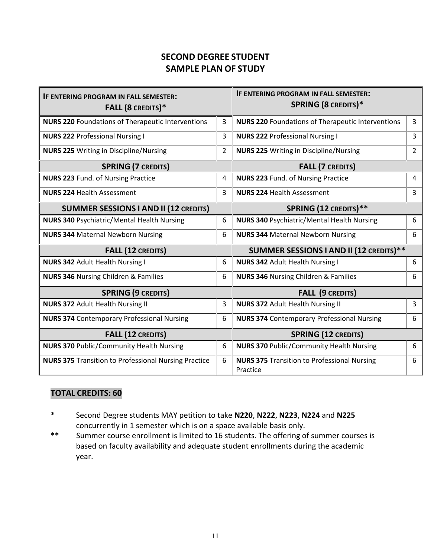# **SECOND DEGREE STUDENT SAMPLE PLAN OF STUDY**

| <b>IF ENTERING PROGRAM IN FALL SEMESTER:</b><br><b>FALL (8 CREDITS)*</b> |                | IF ENTERING PROGRAM IN FALL SEMESTER:<br><b>SPRING (8 CREDITS)*</b> |                |  |
|--------------------------------------------------------------------------|----------------|---------------------------------------------------------------------|----------------|--|
| <b>NURS 220 Foundations of Therapeutic Interventions</b>                 | 3              | <b>NURS 220 Foundations of Therapeutic Interventions</b>            | 3              |  |
| <b>NURS 222 Professional Nursing I</b>                                   | 3              | <b>NURS 222 Professional Nursing I</b>                              | $\overline{3}$ |  |
| <b>NURS 225 Writing in Discipline/Nursing</b>                            | $\overline{2}$ | <b>NURS 225 Writing in Discipline/Nursing</b>                       | $\overline{2}$ |  |
| <b>SPRING (7 CREDITS)</b>                                                |                | <b>FALL (7 CREDITS)</b>                                             |                |  |
| <b>NURS 223 Fund. of Nursing Practice</b>                                | 4              | <b>NURS 223 Fund. of Nursing Practice</b>                           | 4              |  |
| <b>NURS 224 Health Assessment</b>                                        | 3              | <b>NURS 224 Health Assessment</b>                                   | 3              |  |
| <b>SUMMER SESSIONS I AND II (12 CREDITS)</b>                             |                | <b>SPRING (12 CREDITS)**</b>                                        |                |  |
| <b>NURS 340 Psychiatric/Mental Health Nursing</b>                        | 6              | <b>NURS 340 Psychiatric/Mental Health Nursing</b>                   | 6              |  |
| <b>NURS 344 Maternal Newborn Nursing</b>                                 | 6              | <b>NURS 344 Maternal Newborn Nursing</b>                            | 6              |  |
| <b>FALL (12 CREDITS)</b>                                                 |                | <b>SUMMER SESSIONS I AND II (12 CREDITS)**</b>                      |                |  |
| <b>NURS 342 Adult Health Nursing I</b>                                   | 6              | <b>NURS 342 Adult Health Nursing I</b>                              | 6              |  |
| <b>NURS 346 Nursing Children &amp; Families</b>                          | 6              | <b>NURS 346 Nursing Children &amp; Families</b>                     | 6              |  |
| <b>SPRING (9 CREDITS)</b>                                                |                | <b>FALL (9 CREDITS)</b>                                             |                |  |
| <b>NURS 372 Adult Health Nursing II</b>                                  | 3              | <b>NURS 372 Adult Health Nursing II</b>                             | 3              |  |
| <b>NURS 374 Contemporary Professional Nursing</b>                        | 6              | <b>NURS 374 Contemporary Professional Nursing</b>                   | 6              |  |
| <b>FALL (12 CREDITS)</b>                                                 |                | <b>SPRING (12 CREDITS)</b>                                          |                |  |
| <b>NURS 370 Public/Community Health Nursing</b>                          | 6              | <b>NURS 370 Public/Community Health Nursing</b>                     | 6              |  |
| <b>NURS 375 Transition to Professional Nursing Practice</b>              | 6              | <b>NURS 375 Transition to Professional Nursing</b><br>Practice      | 6              |  |

# **TOTAL CREDITS: 60**

- **\*** Second Degree students MAY petition to take **N220**, **N222**, **N223**, **N224** and **N225** concurrently in 1 semester which is on a space available basis only.
- **\*\*** Summer course enrollment is limited to 16 students. The offering of summer courses is based on faculty availability and adequate student enrollments during the academic year.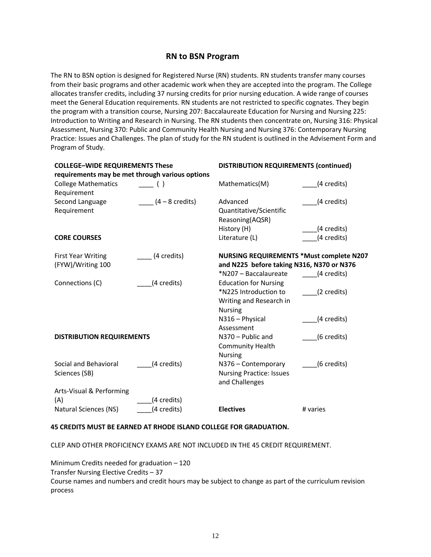## **RN to BSN Program**

The RN to BSN option is designed for Registered Nurse (RN) students. RN students transfer many courses from their basic programs and other academic work when they are accepted into the program. The College allocates transfer credits, including 37 nursing credits for prior nursing education. A wide range of courses meet the General Education requirements. RN students are not restricted to specific cognates. They begin the program with a transition course, Nursing 207: Baccalaureate Education for Nursing and Nursing 225: Introduction to Writing and Research in Nursing. The RN students then concentrate on, Nursing 316: Physical Assessment, Nursing 370: Public and Community Health Nursing and Nursing 376: Contemporary Nursing Practice: Issues and Challenges. The plan of study for the RN student is outlined in the Advisement Form and Program of Study.

| <b>COLLEGE-WIDE REQUIREMENTS These</b>          |                                               | <b>DISTRIBUTION REQUIREMENTS (continued)</b>    |             |  |  |
|-------------------------------------------------|-----------------------------------------------|-------------------------------------------------|-------------|--|--|
| requirements may be met through various options |                                               |                                                 |             |  |  |
| <b>College Mathematics</b><br>Requirement       | $\left( \begin{array}{c} \end{array} \right)$ | Mathematics(M)                                  | (4 credits) |  |  |
| Second Language                                 | $(4-8 \text{ credits})$                       | Advanced                                        | (4 credits) |  |  |
| Requirement                                     |                                               | Quantitative/Scientific                         |             |  |  |
|                                                 |                                               | Reasoning(AQSR)                                 |             |  |  |
|                                                 |                                               | History (H)                                     | (4 credits) |  |  |
| <b>CORE COURSES</b>                             |                                               | Literature (L)                                  | (4 credits) |  |  |
| <b>First Year Writing</b>                       | (4 credits)                                   | <b>NURSING REQUIREMENTS *Must complete N207</b> |             |  |  |
| (FYW)/Writing 100                               |                                               | and N225 before taking N316, N370 or N376       |             |  |  |
|                                                 |                                               | *N207 - Baccalaureate                           | (4 credits) |  |  |
| Connections (C)                                 | (4 credits)                                   | <b>Education for Nursing</b>                    |             |  |  |
|                                                 |                                               | *N225 Introduction to                           | (2 credits) |  |  |
|                                                 |                                               | Writing and Research in                         |             |  |  |
|                                                 |                                               | <b>Nursing</b>                                  |             |  |  |
|                                                 |                                               | N316 - Physical                                 | (4 credits) |  |  |
|                                                 |                                               | Assessment                                      |             |  |  |
| <b>DISTRIBUTION REQUIREMENTS</b>                |                                               | $N370 - Public$ and                             | (6 credits) |  |  |
|                                                 |                                               | <b>Community Health</b>                         |             |  |  |
|                                                 |                                               | <b>Nursing</b>                                  |             |  |  |
| Social and Behavioral                           | (4 credits)                                   | N376 - Contemporary                             | (6 credits) |  |  |
| Sciences (SB)                                   |                                               | <b>Nursing Practice: Issues</b>                 |             |  |  |
|                                                 |                                               | and Challenges                                  |             |  |  |
| Arts-Visual & Performing                        |                                               |                                                 |             |  |  |
| (A)                                             | (4 credits)                                   |                                                 |             |  |  |
| <b>Natural Sciences (NS)</b>                    | (4 credits)                                   | <b>Electives</b>                                | # varies    |  |  |

#### **45 CREDITS MUST BE EARNED AT RHODE ISLAND COLLEGE FOR GRADUATION.**

CLEP AND OTHER PROFICIENCY EXAMS ARE NOT INCLUDED IN THE 45 CREDIT REQUIREMENT.

Minimum Credits needed for graduation – 120 Transfer Nursing Elective Credits – 37 Course names and numbers and credit hours may be subject to change as part of the curriculum revision process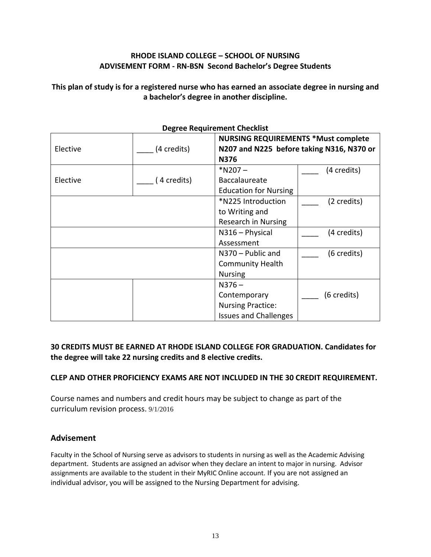# **RHODE ISLAND COLLEGE – SCHOOL OF NURSING ADVISEMENT FORM - RN-BSN Second Bachelor's Degree Students**

**This plan of study is for a registered nurse who has earned an associate degree in nursing and a bachelor's degree in another discipline.**

| <b>Degree Requirement Checklist</b> |             |                                            |             |  |  |  |
|-------------------------------------|-------------|--------------------------------------------|-------------|--|--|--|
|                                     |             | <b>NURSING REQUIREMENTS *Must complete</b> |             |  |  |  |
| Elective                            | (4 credits) | N207 and N225 before taking N316, N370 or  |             |  |  |  |
|                                     |             | <b>N376</b>                                |             |  |  |  |
|                                     |             | $*N207 -$                                  | (4 credits) |  |  |  |
| Elective                            | (4 credits) | Baccalaureate                              |             |  |  |  |
|                                     |             | <b>Education for Nursing</b>               |             |  |  |  |
|                                     |             | *N225 Introduction                         | (2 credits) |  |  |  |
|                                     |             | to Writing and                             |             |  |  |  |
|                                     |             | Research in Nursing                        |             |  |  |  |
|                                     |             | N316 - Physical                            | (4 credits) |  |  |  |
|                                     |             | Assessment                                 |             |  |  |  |
|                                     |             | $N370 - Public$ and                        | (6 credits) |  |  |  |
|                                     |             | <b>Community Health</b>                    |             |  |  |  |
|                                     |             | <b>Nursing</b>                             |             |  |  |  |
|                                     |             | $N376 -$                                   |             |  |  |  |
|                                     |             | Contemporary                               | (6 credits) |  |  |  |
|                                     |             | <b>Nursing Practice:</b>                   |             |  |  |  |
|                                     |             | <b>Issues and Challenges</b>               |             |  |  |  |

# **30 CREDITS MUST BE EARNED AT RHODE ISLAND COLLEGE FOR GRADUATION. Candidates for the degree will take 22 nursing credits and 8 elective credits.**

#### **CLEP AND OTHER PROFICIENCY EXAMS ARE NOT INCLUDED IN THE 30 CREDIT REQUIREMENT.**

Course names and numbers and credit hours may be subject to change as part of the curriculum revision process. 9/1/2016

#### **Advisement**

Faculty in the School of Nursing serve as advisors to students in nursing as well as the Academic Advising department. Students are assigned an advisor when they declare an intent to major in nursing. Advisor assignments are available to the student in their MyRIC Online account. If you are not assigned an individual advisor, you will be assigned to the Nursing Department for advising.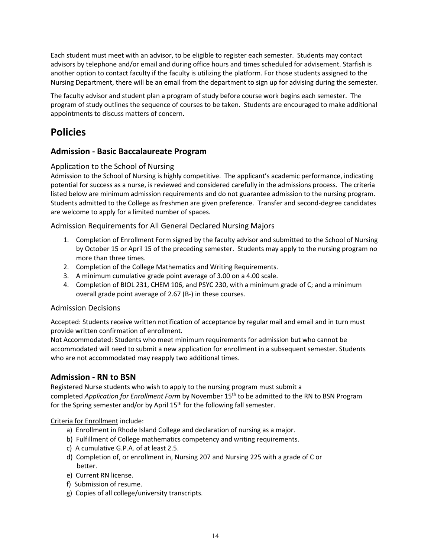Each student must meet with an advisor, to be eligible to register each semester. Students may contact advisors by telephone and/or email and during office hours and times scheduled for advisement. Starfish is another option to contact faculty if the faculty is utilizing the platform. For those students assigned to the Nursing Department, there will be an email from the department to sign up for advising during the semester.

The faculty advisor and student plan a program of study before course work begins each semester. The program of study outlines the sequence of courses to be taken. Students are encouraged to make additional appointments to discuss matters of concern.

# **Policies**

# **Admission - Basic Baccalaureate Program**

# Application to the School of Nursing

Admission to the School of Nursing is highly competitive. The applicant's academic performance, indicating potential for success as a nurse, is reviewed and considered carefully in the admissions process. The criteria listed below are minimum admission requirements and do not guarantee admission to the nursing program. Students admitted to the College as freshmen are given preference. Transfer and second-degree candidates are welcome to apply for a limited number of spaces.

Admission Requirements for All General Declared Nursing Majors

- 1. Completion of Enrollment Form signed by the faculty advisor and submitted to the School of Nursing by October 15 or April 15 of the preceding semester. Students may apply to the nursing program no more than three times.
- 2. Completion of the College Mathematics and Writing Requirements.
- 3. A minimum cumulative grade point average of 3.00 on a 4.00 scale.
- 4. Completion of BIOL 231, CHEM 106, and PSYC 230, with a minimum grade of C; and a minimum overall grade point average of 2.67 (B-) in these courses.

#### Admission Decisions

Accepted: Students receive written notification of acceptance by regular mail and email and in turn must provide written confirmation of enrollment.

Not Accommodated: Students who meet minimum requirements for admission but who cannot be accommodated will need to submit a new application for enrollment in a subsequent semester. Students who are not accommodated may reapply two additional times.

# **Admission - RN to BSN**

Registered Nurse students who wish to apply to the nursing program must submit a completed *Application for Enrollment Form* by November 15th to be admitted to the RN to BSN Program for the Spring semester and/or by April 15<sup>th</sup> for the following fall semester.

#### Criteria for Enrollment include:

- a) Enrollment in Rhode Island College and declaration of nursing as a major.
- b) Fulfillment of College mathematics competency and writing requirements.
- c) A cumulative G.P.A. of at least 2.5.
- d) Completion of, or enrollment in, Nursing 207 and Nursing 225 with a grade of C or better.
- e) Current RN license.
- f) Submission of resume.
- g) Copies of all college/university transcripts.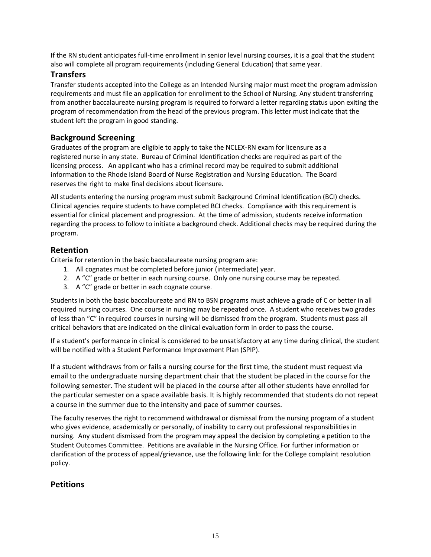If the RN student anticipates full-time enrollment in senior level nursing courses, it is a goal that the student also will complete all program requirements (including General Education) that same year.

# **Transfers**

Transfer students accepted into the College as an Intended Nursing major must meet the program admission requirements and must file an application for enrollment to the School of Nursing. Any student transferring from another baccalaureate nursing program is required to forward a letter regarding status upon exiting the program of recommendation from the head of the previous program. This letter must indicate that the student left the program in good standing.

## **Background Screening**

Graduates of the program are eligible to apply to take the NCLEX-RN exam for licensure as a registered nurse in any state. Bureau of Criminal Identification checks are required as part of the licensing process. An applicant who has a criminal record may be required to submit additional information to the Rhode Island Board of Nurse Registration and Nursing Education. The Board reserves the right to make final decisions about licensure.

All students entering the nursing program must submit Background Criminal Identification (BCI) checks. Clinical agencies require students to have completed BCI checks. Compliance with this requirement is essential for clinical placement and progression. At the time of admission, students receive information regarding the process to follow to initiate a background check. Additional checks may be required during the program.

#### **Retention**

Criteria for retention in the basic baccalaureate nursing program are:

- 1. All cognates must be completed before junior (intermediate) year.
- 2. A "C" grade or better in each nursing course. Only one nursing course may be repeated.
- 3. A "C" grade or better in each cognate course.

Students in both the basic baccalaureate and RN to BSN programs must achieve a grade of C or better in all required nursing courses. One course in nursing may be repeated once. A student who receives two grades of less than "C" in required courses in nursing will be dismissed from the program. Students must pass all critical behaviors that are indicated on the clinical evaluation form in order to pass the course.

If a student's performance in clinical is considered to be unsatisfactory at any time during clinical, the student will be notified with a Student Performance Improvement Plan (SPIP).

If a student withdraws from or fails a nursing course for the first time, the student must request via email to the undergraduate nursing department chair that the student be placed in the course for the following semester. The student will be placed in the course after all other students have enrolled for the particular semester on a space available basis. It is highly recommended that students do not repeat a course in the summer due to the intensity and pace of summer courses.

The faculty reserves the right to recommend withdrawal or dismissal from the nursing program of a student who gives evidence, academically or personally, of inability to carry out professional responsibilities in nursing. Any student dismissed from the program may appeal the decision by completing a petition to the Student Outcomes Committee. Petitions are available in the Nursing Office. For further information or clarification of the process of appeal/grievance, use the following link: for the College complaint resolution policy.

#### **Petitions**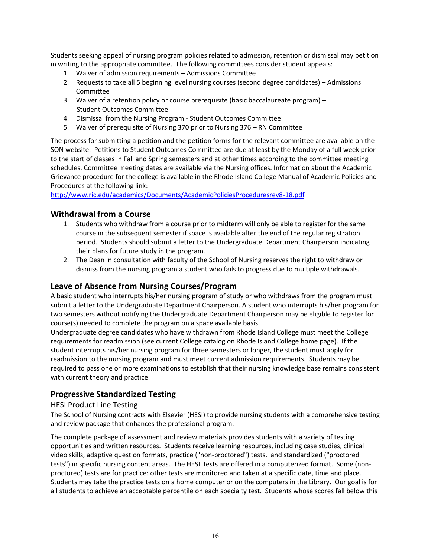Students seeking appeal of nursing program policies related to admission, retention or dismissal may petition in writing to the appropriate committee. The following committees consider student appeals:

- 1. Waiver of admission requirements Admissions Committee
- 2. Requests to take all 5 beginning level nursing courses (second degree candidates) Admissions **Committee**
- 3. Waiver of a retention policy or course prerequisite (basic baccalaureate program) Student Outcomes Committee
- 4. Dismissal from the Nursing Program Student Outcomes Committee
- 5. Waiver of prerequisite of Nursing 370 prior to Nursing 376 RN Committee

The process for submitting a petition and the petition forms for the relevant committee are available on the SON website. Petitions to Student Outcomes Committee are due at least by the Monday of a full week prior to the start of classes in Fall and Spring semesters and at other times according to the committee meeting schedules. Committee meeting dates are available via the Nursing offices. Information about the Academic Grievance procedure for the college is available in the Rhode Island College Manual of Academic Policies and Procedures at the following link:

<http://www.ric.edu/academics/Documents/AcademicPoliciesProceduresrev8-18.pdf>

# **Withdrawal from a Course**

- 1. Students who withdraw from a course prior to midterm will only be able to register for the same course in the subsequent semester if space is available after the end of the regular registration period. Students should submit a letter to the Undergraduate Department Chairperson indicating their plans for future study in the program.
- 2. The Dean in consultation with faculty of the School of Nursing reserves the right to withdraw or dismiss from the nursing program a student who fails to progress due to multiple withdrawals.

# **Leave of Absence from Nursing Courses/Program**

A basic student who interrupts his/her nursing program of study or who withdraws from the program must submit a letter to the Undergraduate Department Chairperson. A student who interrupts his/her program for two semesters without notifying the Undergraduate Department Chairperson may be eligible to register for course(s) needed to complete the program on a space available basis.

Undergraduate degree candidates who have withdrawn from Rhode Island College must meet the College requirements for readmission (see current College catalog on Rhode Island College home page). If the student interrupts his/her nursing program for three semesters or longer, the student must apply for readmission to the nursing program and must meet current admission requirements. Students may be required to pass one or more examinations to establish that their nursing knowledge base remains consistent with current theory and practice.

# **Progressive Standardized Testing**

#### HESI Product Line Testing

The School of Nursing contracts with Elsevier (HESI) to provide nursing students with a comprehensive testing and review package that enhances the professional program.

The complete package of assessment and review materials provides students with a variety of testing opportunities and written resources. Students receive learning resources, including case studies, clinical video skills, adaptive question formats, practice ("non-proctored") tests, and standardized ("proctored tests") in specific nursing content areas. The HESI tests are offered in a computerized format. Some (nonproctored) tests are for practice: other tests are monitored and taken at a specific date, time and place. Students may take the practice tests on a home computer or on the computers in the Library. Our goal is for all students to achieve an acceptable percentile on each specialty test. Students whose scores fall below this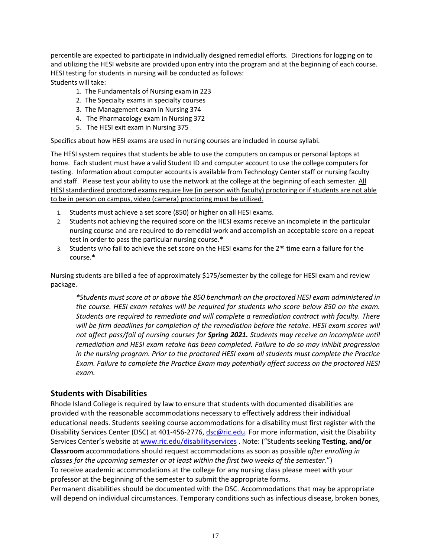percentile are expected to participate in individually designed remedial efforts. Directions for logging on to and utilizing the HESI website are provided upon entry into the program and at the beginning of each course. HESI testing for students in nursing will be conducted as follows: Students will take:

- 1. The Fundamentals of Nursing exam in 223
- 2. The Specialty exams in specialty courses
- 3. The Management exam in Nursing 374
- 4. The Pharmacology exam in Nursing 372
- 5. The HESI exit exam in Nursing 375

Specifics about how HESI exams are used in nursing courses are included in course syllabi.

The HESI system requires that students be able to use the computers on campus or personal laptops at home. Each student must have a valid Student ID and computer account to use the college computers for testing. Information about computer accounts is available from Technology Center staff or nursing faculty and staff. Please test your ability to use the network at the college at the beginning of each semester. All HESI standardized proctored exams require live (in person with faculty) proctoring or if students are not able to be in person on campus, video (camera) proctoring must be utilized.

- 1. Students must achieve a set score (850) or higher on all HESI exams.
- 2. Students not achieving the required score on the HESI exams receive an incomplete in the particular nursing course and are required to do remedial work and accomplish an acceptable score on a repeat test in order to pass the particular nursing course.**\***
- 3. Students who fail to achieve the set score on the HESI exams for the 2<sup>nd</sup> time earn a failure for the course.**\***

Nursing students are billed a fee of approximately \$175/semester by the college for HESI exam and review package.

*\*Students must score at or above the 850 benchmark on the proctored HESI exam administered in the course. HESI exam retakes will be required for students who score below 850 on the exam. Students are required to remediate and will complete a remediation contract with faculty. There will be firm deadlines for completion of the remediation before the retake. HESI exam scores will not affect pass/fail of nursing courses for Spring 2021. Students may receive an incomplete until remediation and HESI exam retake has been completed. Failure to do so may inhibit progression in the nursing program. Prior to the proctored HESI exam all students must complete the Practice Exam. Failure to complete the Practice Exam may potentially affect success on the proctored HESI exam.*

#### **Students with Disabilities**

Rhode Island College is required by law to ensure that students with documented disabilities are provided with the reasonable accommodations necessary to effectively address their individual educational needs. Students seeking course accommodations for a disability must first register with the Disability Services Center (DSC) at 401-456-2776, [dsc@ric.edu.](mailto:dsc@ric.edu) For more information, visit the Disability Services Center's website at [www.ric.edu/disabilityservices](http://www.ric.edu/disabilityservices) . Note: ("Students seeking **Testing, and/or Classroom** accommodations should request accommodations as soon as possible *after enrolling in classes for the upcoming semester or at least within the first two weeks of the semester*.") To receive academic accommodations at the college for any nursing class please meet with your professor at the beginning of the semester to submit the appropriate forms.

Permanent disabilities should be documented with the DSC. Accommodations that may be appropriate will depend on individual circumstances. Temporary conditions such as infectious disease, broken bones,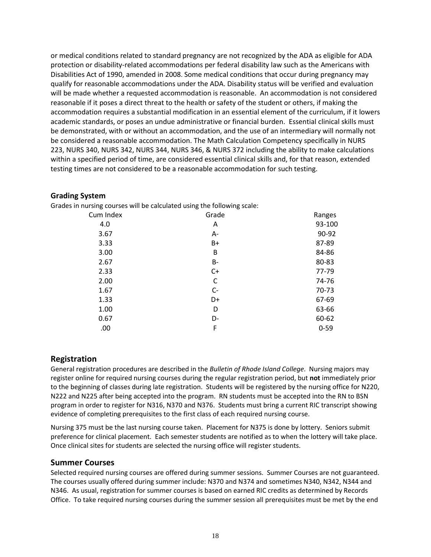or medical conditions related to standard pregnancy are not recognized by the ADA as eligible for ADA protection or disability-related accommodations per federal disability law such as the Americans with Disabilities Act of 1990, amended in 2008. Some medical conditions that occur during pregnancy may qualify for reasonable accommodations under the ADA. Disability status will be verified and evaluation will be made whether a requested accommodation is reasonable. An accommodation is not considered reasonable if it poses a direct threat to the health or safety of the student or others, if making the accommodation requires a substantial modification in an essential element of the curriculum, if it lowers academic standards, or poses an undue administrative or financial burden. Essential clinical skills must be demonstrated, with or without an accommodation, and the use of an intermediary will normally not be considered a reasonable accommodation. The Math Calculation Competency specifically in NURS 223, NURS 340, NURS 342, NURS 344, NURS 346, & NURS 372 including the ability to make calculations within a specified period of time, are considered essential clinical skills and, for that reason, extended testing times are not considered to be a reasonable accommodation for such testing.

#### **Grading System**

| Grades in nursing courses will be calculated using the following scale: |  |
|-------------------------------------------------------------------------|--|
|                                                                         |  |

| Cum Index | Grade | Ranges   |
|-----------|-------|----------|
| 4.0       | Α     | 93-100   |
| 3.67      | А-    | 90-92    |
| 3.33      | B+    | 87-89    |
| 3.00      | В     | 84-86    |
| 2.67      | В-    | 80-83    |
| 2.33      | $C+$  | 77-79    |
| 2.00      | C     | 74-76    |
| 1.67      | $C -$ | 70-73    |
| 1.33      | D+    | 67-69    |
| 1.00      | D     | 63-66    |
| 0.67      | D-    | 60-62    |
| .00       | F     | $0 - 59$ |

#### **Registration**

General registration procedures are described in the *Bulletin of Rhode Island College*. Nursing majors may register online for required nursing courses during the regular registration period, but **not** immediately prior to the beginning of classes during late registration. Students will be registered by the nursing office for N220, N222 and N225 after being accepted into the program. RN students must be accepted into the RN to BSN program in order to register for N316, N370 and N376. Students must bring a current RIC transcript showing evidence of completing prerequisites to the first class of each required nursing course.

Nursing 375 must be the last nursing course taken. Placement for N375 is done by lottery. Seniors submit preference for clinical placement. Each semester students are notified as to when the lottery will take place. Once clinical sites for students are selected the nursing office will register students.

#### **Summer Courses**

Selected required nursing courses are offered during summer sessions. Summer Courses are not guaranteed. The courses usually offered during summer include: N370 and N374 and sometimes N340, N342, N344 and N346. As usual, registration for summer courses is based on earned RIC credits as determined by Records Office. To take required nursing courses during the summer session all prerequisites must be met by the end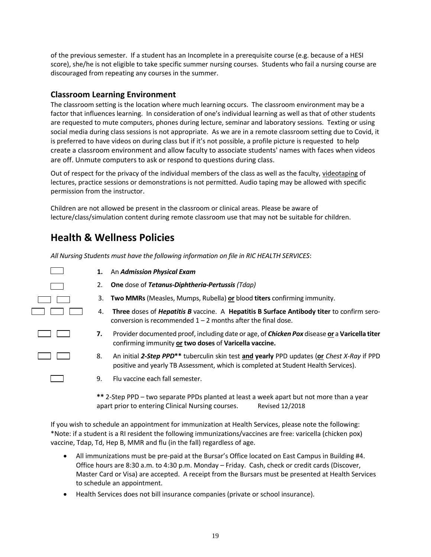of the previous semester. If a student has an Incomplete in a prerequisite course (e.g. because of a HESI score), she/he is not eligible to take specific summer nursing courses. Students who fail a nursing course are discouraged from repeating any courses in the summer.

# **Classroom Learning Environment**

The classroom setting is the location where much learning occurs. The classroom environment may be a factor that influences learning. In consideration of one's individual learning as well as that of other students are requested to mute computers, phones during lecture, seminar and laboratory sessions. Texting or using social media during class sessions is not appropriate. As we are in a remote classroom setting due to Covid, it is preferred to have videos on during class but if it's not possible, a profile picture is requested to help create a classroom environment and allow faculty to associate students' names with faces when videos are off. Unmute computers to ask or respond to questions during class.

Out of respect for the privacy of the individual members of the class as well as the faculty, videotaping of lectures, practice sessions or demonstrations is not permitted. Audio taping may be allowed with specific permission from the instructor.

Children are not allowed be present in the classroom or clinical areas. Please be aware of lecture/class/simulation content during remote classroom use that may not be suitable for children.

# **Health & Wellness Policies**

*All Nursing Students must have the following information on file in RIC HEALTH SERVICES*:

| 1. | An Admission Physical Exam                                                                                                                                                       |
|----|----------------------------------------------------------------------------------------------------------------------------------------------------------------------------------|
| 2. | One dose of Tetanus-Diphtheria-Pertussis (Tdap)                                                                                                                                  |
| 3. | Two MMRs (Measles, Mumps, Rubella) or blood titers confirming immunity.                                                                                                          |
| 4. | Three doses of <i>Hepatitis B</i> vaccine. A <b>Hepatitis B Surface Antibody titer</b> to confirm sero-<br>conversion is recommended $1 - 2$ months after the final dose.        |
| 7. | Provider documented proof, including date or age, of <i>Chicken Pox</i> disease or a Varicella titer<br>confirming immunity or two doses of Varicella vaccine.                   |
| 8. | An initial 2-Step PPD** tuberculin skin test and yearly PPD updates (or Chest X-Ray if PPD<br>positive and yearly TB Assessment, which is completed at Student Health Services). |
| 9. | Flu vaccine each fall semester.                                                                                                                                                  |
|    | ** 2-Step PPD – two separate PPDs planted at least a week apart but not more than a year<br>apart prior to entering Clinical Nursing courses.<br><b>Revised 12/2018</b>          |

If you wish to schedule an appointment for immunization at Health Services, please note the following: \*Note: if a student is a RI resident the following immunizations/vaccines are free: varicella (chicken pox) vaccine, Tdap, Td, Hep B, MMR and flu (in the fall) regardless of age.

- All immunizations must be pre-paid at the Bursar's Office located on East Campus in Building #4. Office hours are 8:30 a.m. to 4:30 p.m. Monday – Friday. Cash, check or credit cards (Discover, Master Card or Visa) are accepted. A receipt from the Bursars must be presented at Health Services to schedule an appointment.
- Health Services does not bill insurance companies (private or school insurance).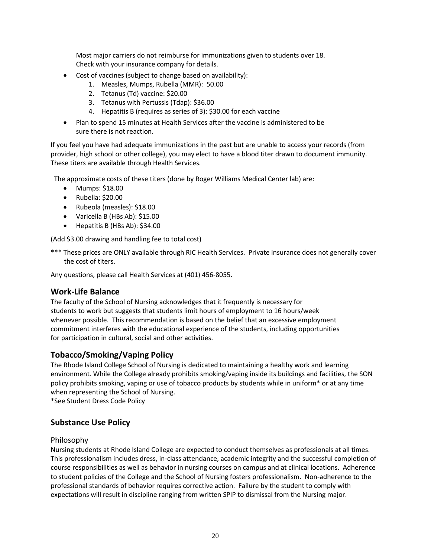Most major carriers do not reimburse for immunizations given to students over 18. Check with your insurance company for details.

- Cost of vaccines (subject to change based on availability):
	- 1. Measles, Mumps, Rubella (MMR): 50.00
	- 2. Tetanus (Td) vaccine: \$20.00
	- 3. Tetanus with Pertussis (Tdap): \$36.00
	- 4. Hepatitis B (requires as series of 3): \$30.00 for each vaccine
- Plan to spend 15 minutes at Health Services after the vaccine is administered to be sure there is not reaction.

If you feel you have had adequate immunizations in the past but are unable to access your records (from provider, high school or other college), you may elect to have a blood titer drawn to document immunity. These titers are available through Health Services.

The approximate costs of these titers (done by Roger Williams Medical Center lab) are:

- Mumps: \$18.00
- Rubella: \$20.00
- Rubeola (measles): \$18.00
- Varicella B (HBs Ab): \$15.00
- Hepatitis B (HBs Ab): \$34.00

(Add \$3.00 drawing and handling fee to total cost)

\*\*\* These prices are ONLY available through RIC Health Services. Private insurance does not generally cover the cost of titers.

Any questions, please call Health Services at (401) 456-8055.

#### **Work-Life Balance**

The faculty of the School of Nursing acknowledges that it frequently is necessary for students to work but suggests that students limit hours of employment to 16 hours/week whenever possible. This recommendation is based on the belief that an excessive employment commitment interferes with the educational experience of the students, including opportunities for participation in cultural, social and other activities.

# **Tobacco/Smoking/Vaping Policy**

The Rhode Island College School of Nursing is dedicated to maintaining a healthy work and learning environment. While the College already prohibits smoking/vaping inside its buildings and facilities, the SON policy prohibits smoking, vaping or use of tobacco products by students while in uniform\* or at any time when representing the School of Nursing.

\*See Student Dress Code Policy

# **Substance Use Policy**

#### Philosophy

Nursing students at Rhode Island College are expected to conduct themselves as professionals at all times. This professionalism includes dress, in-class attendance, academic integrity and the successful completion of course responsibilities as well as behavior in nursing courses on campus and at clinical locations. Adherence to student policies of the College and the School of Nursing fosters professionalism. Non-adherence to the professional standards of behavior requires corrective action. Failure by the student to comply with expectations will result in discipline ranging from written SPIP to dismissal from the Nursing major.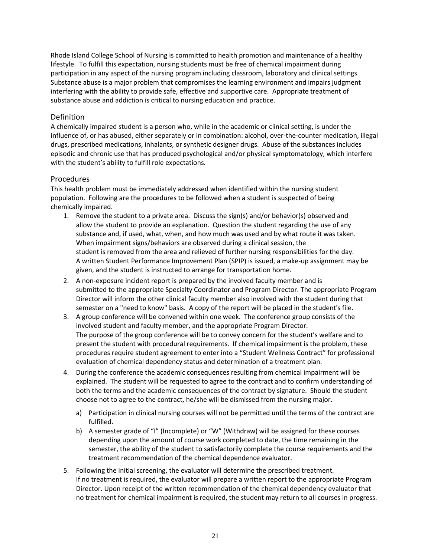Rhode Island College School of Nursing is committed to health promotion and maintenance of a healthy lifestyle. To fulfill this expectation, nursing students must be free of chemical impairment during participation in any aspect of the nursing program including classroom, laboratory and clinical settings. Substance abuse is a major problem that compromises the learning environment and impairs judgment interfering with the ability to provide safe, effective and supportive care. Appropriate treatment of substance abuse and addiction is critical to nursing education and practice.

#### Definition

A chemically impaired student is a person who, while in the academic or clinical setting, is under the influence of, or has abused, either separately or in combination: alcohol, over-the-counter medication, illegal drugs, prescribed medications, inhalants, or synthetic designer drugs. Abuse of the substances includes episodic and chronic use that has produced psychological and/or physical symptomatology, which interfere with the student's ability to fulfill role expectations.

#### Procedures

This health problem must be immediately addressed when identified within the nursing student population. Following are the procedures to be followed when a student is suspected of being chemically impaired.

- 1. Remove the student to a private area. Discuss the sign(s) and/or behavior(s) observed and allow the student to provide an explanation. Question the student regarding the use of any substance and, if used, what, when, and how much was used and by what route it was taken. When impairment signs/behaviors are observed during a clinical session, the student is removed from the area and relieved of further nursing responsibilities for the day. A written Student Performance Improvement Plan (SPIP) is issued, a make-up assignment may be given, and the student is instructed to arrange for transportation home.
- 2. A non-exposure incident report is prepared by the involved faculty member and is submitted to the appropriate Specialty Coordinator and Program Director. The appropriate Program Director will inform the other clinical faculty member also involved with the student during that semester on a "need to know" basis. A copy of the report will be placed in the student's file.
- 3. A group conference will be convened within one week. The conference group consists of the involved student and faculty member, and the appropriate Program Director. The purpose of the group conference will be to convey concern for the student's welfare and to present the student with procedural requirements. If chemical impairment is the problem, these procedures require student agreement to enter into a "Student Wellness Contract" for professional evaluation of chemical dependency status and determination of a treatment plan.
- 4. During the conference the academic consequences resulting from chemical impairment will be explained. The student will be requested to agree to the contract and to confirm understanding of both the terms and the academic consequences of the contract by signature. Should the student choose not to agree to the contract, he/she will be dismissed from the nursing major.
	- a) Participation in clinical nursing courses will not be permitted until the terms of the contract are fulfilled.
	- b) A semester grade of "I" (Incomplete) or "W" (Withdraw) will be assigned for these courses depending upon the amount of course work completed to date, the time remaining in the semester, the ability of the student to satisfactorily complete the course requirements and the treatment recommendation of the chemical dependence evaluator.
- 5. Following the initial screening, the evaluator will determine the prescribed treatment. If no treatment is required, the evaluator will prepare a written report to the appropriate Program Director. Upon receipt of the written recommendation of the chemical dependency evaluator that no treatment for chemical impairment is required, the student may return to all courses in progress.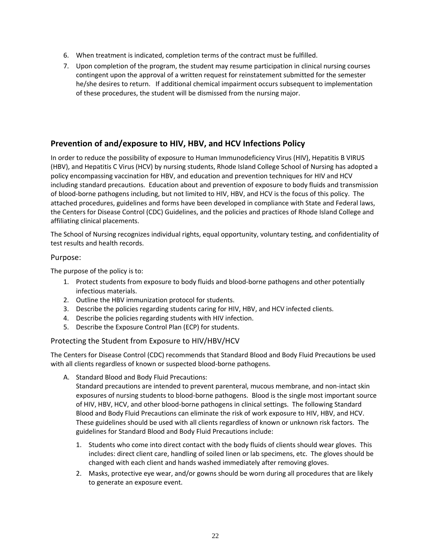- 6. When treatment is indicated, completion terms of the contract must be fulfilled.
- 7. Upon completion of the program, the student may resume participation in clinical nursing courses contingent upon the approval of a written request for reinstatement submitted for the semester he/she desires to return. If additional chemical impairment occurs subsequent to implementation of these procedures, the student will be dismissed from the nursing major.

# **Prevention of and/exposure to HIV, HBV, and HCV Infections Policy**

In order to reduce the possibility of exposure to Human Immunodeficiency Virus (HIV), Hepatitis B VIRUS (HBV), and Hepatitis C Virus (HCV) by nursing students, Rhode Island College School of Nursing has adopted a policy encompassing vaccination for HBV, and education and prevention techniques for HIV and HCV including standard precautions. Education about and prevention of exposure to body fluids and transmission of blood-borne pathogens including, but not limited to HIV, HBV, and HCV is the focus of this policy. The attached procedures, guidelines and forms have been developed in compliance with State and Federal laws, the Centers for Disease Control (CDC) Guidelines, and the policies and practices of Rhode Island College and affiliating clinical placements.

The School of Nursing recognizes individual rights, equal opportunity, voluntary testing, and confidentiality of test results and health records.

#### Purpose:

The purpose of the policy is to:

- 1. Protect students from exposure to body fluids and blood-borne pathogens and other potentially infectious materials.
- 2. Outline the HBV immunization protocol for students.
- 3. Describe the policies regarding students caring for HIV, HBV, and HCV infected clients.
- 4. Describe the policies regarding students with HIV infection.
- 5. Describe the Exposure Control Plan (ECP) for students.

#### Protecting the Student from Exposure to HIV/HBV/HCV

The Centers for Disease Control (CDC) recommends that Standard Blood and Body Fluid Precautions be used with all clients regardless of known or suspected blood-borne pathogens.

A. Standard Blood and Body Fluid Precautions:

Standard precautions are intended to prevent parenteral, mucous membrane, and non-intact skin exposures of nursing students to blood-borne pathogens. Blood is the single most important source of HIV, HBV, HCV, and other blood-borne pathogens in clinical settings. The following Standard Blood and Body Fluid Precautions can eliminate the risk of work exposure to HIV, HBV, and HCV. These guidelines should be used with all clients regardless of known or unknown risk factors. The guidelines for Standard Blood and Body Fluid Precautions include:

- 1. Students who come into direct contact with the body fluids of clients should wear gloves. This includes: direct client care, handling of soiled linen or lab specimens, etc. The gloves should be changed with each client and hands washed immediately after removing gloves.
- 2. Masks, protective eye wear, and/or gowns should be worn during all procedures that are likely to generate an exposure event.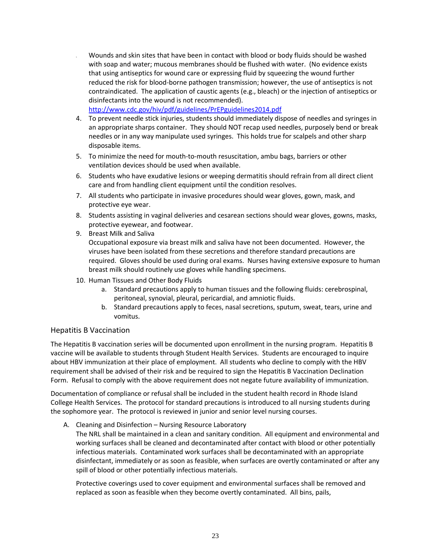3. Wounds and skin sites that have been in contact with blood or body fluids should be washed with soap and water; mucous membranes should be flushed with water. (No evidence exists that using antiseptics for wound care or expressing fluid by squeezing the wound further reduced the risk for blood-borne pathogen transmission; however, the use of antiseptics is not contraindicated. The application of caustic agents (e.g., bleach) or the injection of antiseptics or disinfectants into the wound is not recommended). <http://www.cdc.gov/hiv/pdf/guidelines/PrEPguidelines2014.pdf>

4. To prevent needle stick injuries, students should immediately dispose of needles and syringes in an appropriate sharps container. They should NOT recap used needles, purposely bend or break needles or in any way manipulate used syringes. This holds true for scalpels and other sharp

- disposable items. 5. To minimize the need for mouth-to-mouth resuscitation, ambu bags, barriers or other ventilation devices should be used when available.
	- 6. Students who have exudative lesions or weeping dermatitis should refrain from all direct client care and from handling client equipment until the condition resolves.
	- 7. All students who participate in invasive procedures should wear gloves, gown, mask, and protective eye wear.
	- 8. Students assisting in vaginal deliveries and cesarean sections should wear gloves, gowns, masks, protective eyewear, and footwear.
	- 9. Breast Milk and Saliva

Occupational exposure via breast milk and saliva have not been documented. However, the viruses have been isolated from these secretions and therefore standard precautions are required. Gloves should be used during oral exams. Nurses having extensive exposure to human breast milk should routinely use gloves while handling specimens.

- 10. Human Tissues and Other Body Fluids
	- a. Standard precautions apply to human tissues and the following fluids: cerebrospinal, peritoneal, synovial, pleural, pericardial, and amniotic fluids.
	- b. Standard precautions apply to feces, nasal secretions, sputum, sweat, tears, urine and vomitus.

#### Hepatitis B Vaccination

The Hepatitis B vaccination series will be documented upon enrollment in the nursing program. Hepatitis B vaccine will be available to students through Student Health Services. Students are encouraged to inquire about HBV immunization at their place of employment. All students who decline to comply with the HBV requirement shall be advised of their risk and be required to sign the Hepatitis B Vaccination Declination Form. Refusal to comply with the above requirement does not negate future availability of immunization.

Documentation of compliance or refusal shall be included in the student health record in Rhode Island College Health Services. The protocol for standard precautions is introduced to all nursing students during the sophomore year. The protocol is reviewed in junior and senior level nursing courses.

A. Cleaning and Disinfection – Nursing Resource Laboratory

The NRL shall be maintained in a clean and sanitary condition. All equipment and environmental and working surfaces shall be cleaned and decontaminated after contact with blood or other potentially infectious materials. Contaminated work surfaces shall be decontaminated with an appropriate disinfectant, immediately or as soon as feasible, when surfaces are overtly contaminated or after any spill of blood or other potentially infectious materials.

Protective coverings used to cover equipment and environmental surfaces shall be removed and replaced as soon as feasible when they become overtly contaminated. All bins, pails,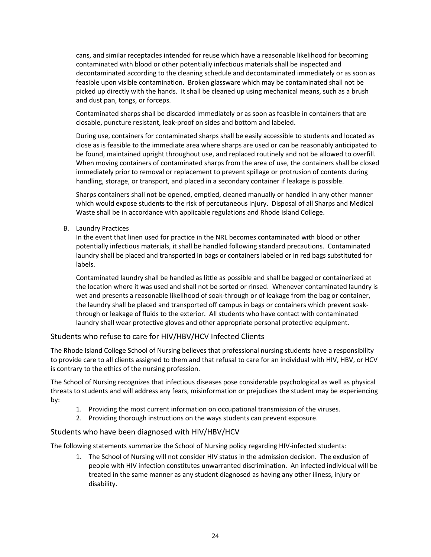cans, and similar receptacles intended for reuse which have a reasonable likelihood for becoming contaminated with blood or other potentially infectious materials shall be inspected and decontaminated according to the cleaning schedule and decontaminated immediately or as soon as feasible upon visible contamination. Broken glassware which may be contaminated shall not be picked up directly with the hands. It shall be cleaned up using mechanical means, such as a brush and dust pan, tongs, or forceps.

Contaminated sharps shall be discarded immediately or as soon as feasible in containers that are closable, puncture resistant, leak-proof on sides and bottom and labeled.

During use, containers for contaminated sharps shall be easily accessible to students and located as close as is feasible to the immediate area where sharps are used or can be reasonably anticipated to be found, maintained upright throughout use, and replaced routinely and not be allowed to overfill. When moving containers of contaminated sharps from the area of use, the containers shall be closed immediately prior to removal or replacement to prevent spillage or protrusion of contents during handling, storage, or transport, and placed in a secondary container if leakage is possible.

Sharps containers shall not be opened, emptied, cleaned manually or handled in any other manner which would expose students to the risk of percutaneous injury. Disposal of all Sharps and Medical Waste shall be in accordance with applicable regulations and Rhode Island College.

B. Laundry Practices

In the event that linen used for practice in the NRL becomes contaminated with blood or other potentially infectious materials, it shall be handled following standard precautions. Contaminated laundry shall be placed and transported in bags or containers labeled or in red bags substituted for labels.

Contaminated laundry shall be handled as little as possible and shall be bagged or containerized at the location where it was used and shall not be sorted or rinsed. Whenever contaminated laundry is wet and presents a reasonable likelihood of soak-through or of leakage from the bag or container, the laundry shall be placed and transported off campus in bags or containers which prevent soakthrough or leakage of fluids to the exterior. All students who have contact with contaminated laundry shall wear protective gloves and other appropriate personal protective equipment.

#### Students who refuse to care for HIV/HBV/HCV Infected Clients

The Rhode Island College School of Nursing believes that professional nursing students have a responsibility to provide care to all clients assigned to them and that refusal to care for an individual with HIV, HBV, or HCV is contrary to the ethics of the nursing profession.

The School of Nursing recognizes that infectious diseases pose considerable psychological as well as physical threats to students and will address any fears, misinformation or prejudices the student may be experiencing by:

- 1. Providing the most current information on occupational transmission of the viruses.
- 2. Providing thorough instructions on the ways students can prevent exposure.

#### Students who have been diagnosed with HIV/HBV/HCV

The following statements summarize the School of Nursing policy regarding HIV-infected students:

1. The School of Nursing will not consider HIV status in the admission decision. The exclusion of people with HIV infection constitutes unwarranted discrimination. An infected individual will be treated in the same manner as any student diagnosed as having any other illness, injury or disability.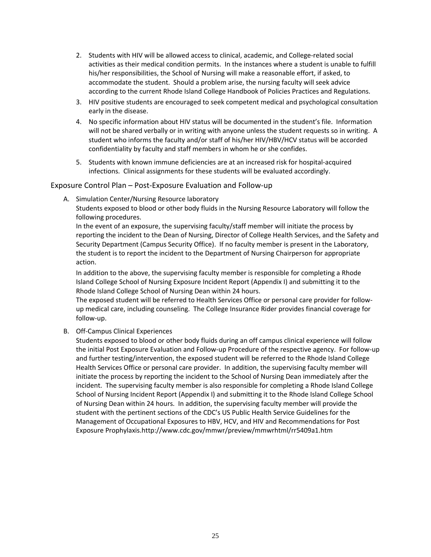- 2. Students with HIV will be allowed access to clinical, academic, and College-related social activities as their medical condition permits. In the instances where a student is unable to fulfill his/her responsibilities, the School of Nursing will make a reasonable effort, if asked, to accommodate the student. Should a problem arise, the nursing faculty will seek advice according to the current Rhode Island College Handbook of Policies Practices and Regulations.
- 3. HIV positive students are encouraged to seek competent medical and psychological consultation early in the disease.
- 4. No specific information about HIV status will be documented in the student's file. Information will not be shared verbally or in writing with anyone unless the student requests so in writing. A student who informs the faculty and/or staff of his/her HIV/HBV/HCV status will be accorded confidentiality by faculty and staff members in whom he or she confides.
- 5. Students with known immune deficiencies are at an increased risk for hospital-acquired infections. Clinical assignments for these students will be evaluated accordingly.

#### Exposure Control Plan – Post-Exposure Evaluation and Follow-up

A. Simulation Center/Nursing Resource laboratory

Students exposed to blood or other body fluids in the Nursing Resource Laboratory will follow the following procedures.

In the event of an exposure, the supervising faculty/staff member will initiate the process by reporting the incident to the Dean of Nursing, Director of College Health Services, and the Safety and Security Department (Campus Security Office). If no faculty member is present in the Laboratory, the student is to report the incident to the Department of Nursing Chairperson for appropriate action.

In addition to the above, the supervising faculty member is responsible for completing a Rhode Island College School of Nursing Exposure Incident Report (Appendix I) and submitting it to the Rhode Island College School of Nursing Dean within 24 hours.

The exposed student will be referred to Health Services Office or personal care provider for followup medical care, including counseling. The College Insurance Rider provides financial coverage for follow-up.

B. Off-Campus Clinical Experiences

Students exposed to blood or other body fluids during an off campus clinical experience will follow the initial Post Exposure Evaluation and Follow-up Procedure of the respective agency. For follow-up and further testing/intervention, the exposed student will be referred to the Rhode Island College Health Services Office or personal care provider. In addition, the supervising faculty member will initiate the process by reporting the incident to the School of Nursing Dean immediately after the incident. The supervising faculty member is also responsible for completing a Rhode Island College School of Nursing Incident Report (Appendix I) and submitting it to the Rhode Island College School of Nursing Dean within 24 hours. In addition, the supervising faculty member will provide the student with the pertinent sections of the CDC's US Public Health Service Guidelines for the Management of Occupational Exposures to HBV, HCV, and HIV and Recommendations for Post Exposure Prophylaxis.http://www.cdc.gov/mmwr/preview/mmwrhtml/rr5409a1.htm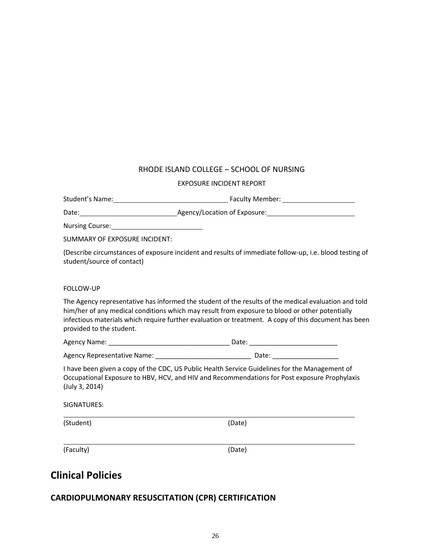#### RHODE ISLAND COLLEGE – SCHOOL OF NURSING

EXPOSURE INCIDENT REPORT

|                                                                                                                                                                                                                                | LAF UJUNE INCIDENT INFRUNT                                                                                                                                                                                                                                                                                     |
|--------------------------------------------------------------------------------------------------------------------------------------------------------------------------------------------------------------------------------|----------------------------------------------------------------------------------------------------------------------------------------------------------------------------------------------------------------------------------------------------------------------------------------------------------------|
|                                                                                                                                                                                                                                |                                                                                                                                                                                                                                                                                                                |
|                                                                                                                                                                                                                                |                                                                                                                                                                                                                                                                                                                |
| Nursing Course: Management of the Course of the Course of the Course of the Course of the Course of the Course of the Course of the Course of the Course of the Course of the Course of the Course of the Course of the Course |                                                                                                                                                                                                                                                                                                                |
| SUMMARY OF EXPOSURE INCIDENT:                                                                                                                                                                                                  |                                                                                                                                                                                                                                                                                                                |
| student/source of contact)                                                                                                                                                                                                     | (Describe circumstances of exposure incident and results of immediate follow-up, i.e. blood testing of                                                                                                                                                                                                         |
| FOLLOW-UP                                                                                                                                                                                                                      |                                                                                                                                                                                                                                                                                                                |
| provided to the student.                                                                                                                                                                                                       | The Agency representative has informed the student of the results of the medical evaluation and told<br>him/her of any medical conditions which may result from exposure to blood or other potentially<br>infectious materials which require further evaluation or treatment. A copy of this document has been |
|                                                                                                                                                                                                                                |                                                                                                                                                                                                                                                                                                                |
|                                                                                                                                                                                                                                | Agency Representative Name: ___________________________________ Date: ______________________________                                                                                                                                                                                                           |
| (July 3, 2014)                                                                                                                                                                                                                 | I have been given a copy of the CDC, US Public Health Service Guidelines for the Management of<br>Occupational Exposure to HBV, HCV, and HIV and Recommendations for Post exposure Prophylaxis                                                                                                                 |
| SIGNATURES:                                                                                                                                                                                                                    |                                                                                                                                                                                                                                                                                                                |
| (Student)                                                                                                                                                                                                                      | (Date)                                                                                                                                                                                                                                                                                                         |
| (Faculty)                                                                                                                                                                                                                      | (Date)                                                                                                                                                                                                                                                                                                         |

# **Clinical Policies**

# **CARDIOPULMONARY RESUSCITATION (CPR) CERTIFICATION**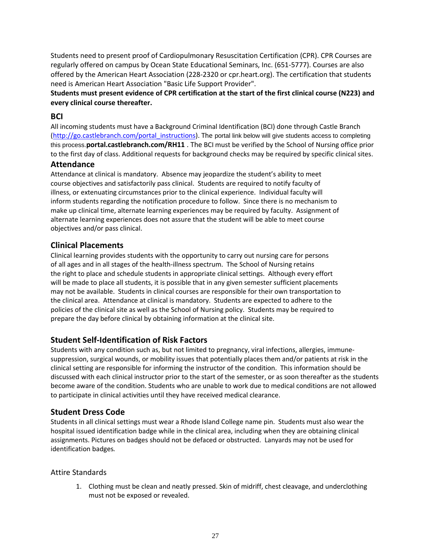Students need to present proof of Cardiopulmonary Resuscitation Certification (CPR). CPR Courses are regularly offered on campus by Ocean State Educational Seminars, Inc. (651-5777). Courses are also offered by the American Heart Association (228-2320 or cpr.heart.org). The certification that students need is American Heart Association "Basic Life Support Provider".

**Students must present evidence of CPR certification at the start of the first clinical course (N223) and every clinical course thereafter.** 

## **BCI**

All incoming students must have a Background Criminal Identification (BCI) done through Castle Branch [\(http://go.castlebranch.com/portal\\_instructions\)](http://go.castlebranch.com/portal_instructions). The portal link below will give students access to completing this process.**portal.castlebranch.com/RH11** . The BCI must be verified by the School of Nursing office prior to the first day of class. Additional requests for background checks may be required by specific clinical sites.

#### **Attendance**

Attendance at clinical is mandatory. Absence may jeopardize the student's ability to meet course objectives and satisfactorily pass clinical. Students are required to notify faculty of illness, or extenuating circumstances prior to the clinical experience. Individual faculty will inform students regarding the notification procedure to follow. Since there is no mechanism to make up clinical time, alternate learning experiences may be required by faculty. Assignment of alternate learning experiences does not assure that the student will be able to meet course objectives and/or pass clinical.

#### **Clinical Placements**

Clinical learning provides students with the opportunity to carry out nursing care for persons of all ages and in all stages of the health-illness spectrum. The School of Nursing retains the right to place and schedule students in appropriate clinical settings. Although every effort will be made to place all students, it is possible that in any given semester sufficient placements may not be available. Students in clinical courses are responsible for their own transportation to the clinical area. Attendance at clinical is mandatory. Students are expected to adhere to the policies of the clinical site as well as the School of Nursing policy. Students may be required to prepare the day before clinical by obtaining information at the clinical site.

#### **Student Self-Identification of Risk Factors**

Students with any condition such as, but not limited to pregnancy, viral infections, allergies, immunesuppression, surgical wounds, or mobility issues that potentially places them and/or patients at risk in the clinical setting are responsible for informing the instructor of the condition. This information should be discussed with each clinical instructor prior to the start of the semester, or as soon thereafter as the students become aware of the condition. Students who are unable to work due to medical conditions are not allowed to participate in clinical activities until they have received medical clearance.

# **Student Dress Code**

Students in all clinical settings must wear a Rhode Island College name pin. Students must also wear the hospital issued identification badge while in the clinical area, including when they are obtaining clinical assignments. Pictures on badges should not be defaced or obstructed. Lanyards may not be used for identification badges*.* 

#### Attire Standards

1. Clothing must be clean and neatly pressed. Skin of midriff, chest cleavage, and underclothing must not be exposed or revealed.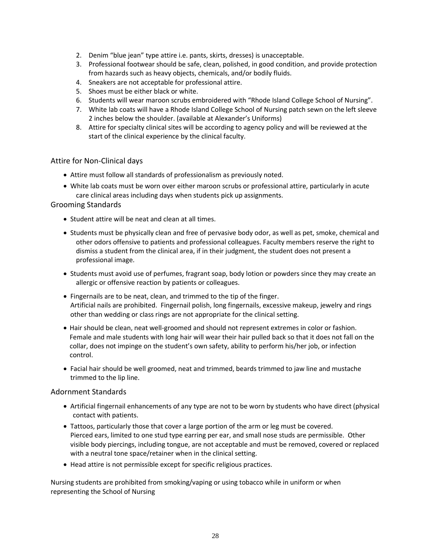- 2. Denim "blue jean" type attire i.e. pants, skirts, dresses) is unacceptable.
- 3. Professional footwear should be safe, clean, polished, in good condition, and provide protection from hazards such as heavy objects, chemicals, and/or bodily fluids.
- 4. Sneakers are not acceptable for professional attire.
- 5. Shoes must be either black or white.
- 6. Students will wear maroon scrubs embroidered with "Rhode Island College School of Nursing".
- 7. White lab coats will have a Rhode Island College School of Nursing patch sewn on the left sleeve 2 inches below the shoulder. (available at Alexander's Uniforms)
- 8. Attire for specialty clinical sites will be according to agency policy and will be reviewed at the start of the clinical experience by the clinical faculty.

#### Attire for Non-Clinical days

- Attire must follow all standards of professionalism as previously noted.
- White lab coats must be worn over either maroon scrubs or professional attire, particularly in acute care clinical areas including days when students pick up assignments.

#### Grooming Standards

- Student attire will be neat and clean at all times.
- Students must be physically clean and free of pervasive body odor, as well as pet, smoke, chemical and other odors offensive to patients and professional colleagues. Faculty members reserve the right to dismiss a student from the clinical area, if in their judgment, the student does not present a professional image.
- Students must avoid use of perfumes, fragrant soap, body lotion or powders since they may create an allergic or offensive reaction by patients or colleagues.
- Fingernails are to be neat, clean, and trimmed to the tip of the finger. Artificial nails are prohibited. Fingernail polish, long fingernails, excessive makeup, jewelry and rings other than wedding or class rings are not appropriate for the clinical setting.
- Hair should be clean, neat well-groomed and should not represent extremes in color or fashion. Female and male students with long hair will wear their hair pulled back so that it does not fall on the collar, does not impinge on the student's own safety, ability to perform his/her job, or infection control.
- Facial hair should be well groomed, neat and trimmed, beards trimmed to jaw line and mustache trimmed to the lip line.

#### Adornment Standards

- Artificial fingernail enhancements of any type are not to be worn by students who have direct (physical contact with patients.
- Tattoos, particularly those that cover a large portion of the arm or leg must be covered. Pierced ears, limited to one stud type earring per ear, and small nose studs are permissible. Other visible body piercings, including tongue, are not acceptable and must be removed, covered or replaced with a neutral tone space/retainer when in the clinical setting.
- Head attire is not permissible except for specific religious practices.

Nursing students are prohibited from smoking/vaping or using tobacco while in uniform or when representing the School of Nursing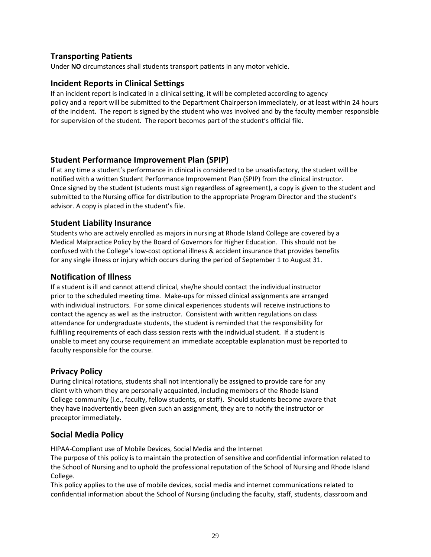# **Transporting Patients**

Under **NO** circumstances shall students transport patients in any motor vehicle.

#### **Incident Reports in Clinical Settings**

If an incident report is indicated in a clinical setting, it will be completed according to agency policy and a report will be submitted to the Department Chairperson immediately, or at least within 24 hours of the incident. The report is signed by the student who was involved and by the faculty member responsible for supervision of the student. The report becomes part of the student's official file.

# **Student Performance Improvement Plan (SPIP)**

If at any time a student's performance in clinical is considered to be unsatisfactory, the student will be notified with a written Student Performance Improvement Plan (SPIP) from the clinical instructor. Once signed by the student (students must sign regardless of agreement), a copy is given to the student and submitted to the Nursing office for distribution to the appropriate Program Director and the student's advisor. A copy is placed in the student's file.

#### **Student Liability Insurance**

Students who are actively enrolled as majors in nursing at Rhode Island College are covered by a Medical Malpractice Policy by the Board of Governors for Higher Education. This should not be confused with the College's low-cost optional illness & accident insurance that provides benefits for any single illness or injury which occurs during the period of September 1 to August 31.

#### **Notification of Illness**

If a student is ill and cannot attend clinical, she/he should contact the individual instructor prior to the scheduled meeting time. Make-ups for missed clinical assignments are arranged with individual instructors. For some clinical experiences students will receive instructions to contact the agency as well as the instructor. Consistent with written regulations on class attendance for undergraduate students, the student is reminded that the responsibility for fulfilling requirements of each class session rests with the individual student. If a student is unable to meet any course requirement an immediate acceptable explanation must be reported to faculty responsible for the course.

#### **Privacy Policy**

During clinical rotations, students shall not intentionally be assigned to provide care for any client with whom they are personally acquainted, including members of the Rhode Island College community (i.e., faculty, fellow students, or staff). Should students become aware that they have inadvertently been given such an assignment, they are to notify the instructor or preceptor immediately.

#### **Social Media Policy**

HIPAA-Compliant use of Mobile Devices, Social Media and the Internet

The purpose of this policy is to maintain the protection of sensitive and confidential information related to the School of Nursing and to uphold the professional reputation of the School of Nursing and Rhode Island College.

This policy applies to the use of mobile devices, social media and internet communications related to confidential information about the School of Nursing (including the faculty, staff, students, classroom and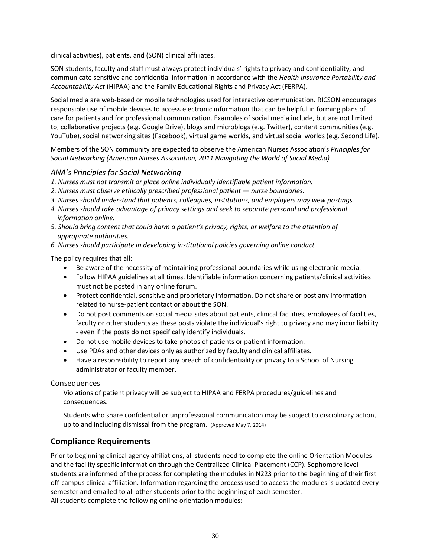clinical activities), patients, and (SON) clinical affiliates.

SON students, faculty and staff must always protect individuals' rights to privacy and confidentiality, and communicate sensitive and confidential information in accordance with the *Health Insurance Portability and Accountability Act* (HIPAA) and the Family Educational Rights and Privacy Act (FERPA).

Social media are web-based or mobile technologies used for interactive communication. RICSON encourages responsible use of mobile devices to access electronic information that can be helpful in forming plans of care for patients and for professional communication. Examples of social media include, but are not limited to, collaborative projects (e.g. Google Drive), blogs and microblogs (e.g. Twitter), content communities (e.g. YouTube), social networking sites (Facebook), virtual game worlds, and virtual social worlds (e.g. Second Life).

Members of the SON community are expected to observe the American Nurses Association's *Principles for Social Networking (American Nurses Association, 2011 Navigating the World of Social Media)*

#### *ANA's Principles for Social Networking*

- *1. Nurses must not transmit or place online individually identifiable patient information.*
- *2. Nurses must observe ethically prescribed professional patient — nurse boundaries.*
- *3. Nurses should understand that patients, colleagues, institutions, and employers may view postings.*
- *4. Nurses should take advantage of privacy settings and seek to separate personal and professional information online.*
- *5. Should bring content that could harm a patient's privacy, rights, or welfare to the attention of appropriate authorities.*
- *6. Nurses should participate in developing institutional policies governing online conduct.*

The policy requires that all:

- Be aware of the necessity of maintaining professional boundaries while using electronic media.
- Follow HIPAA guidelines at all times. Identifiable information concerning patients/clinical activities must not be posted in any online forum.
- Protect confidential, sensitive and proprietary information. Do not share or post any information related to nurse-patient contact or about the SON.
- Do not post comments on social media sites about patients, clinical facilities, employees of facilities, faculty or other students as these posts violate the individual's right to privacy and may incur liability - even if the posts do not specifically identify individuals.
- Do not use mobile devices to take photos of patients or patient information.
- Use PDAs and other devices only as authorized by faculty and clinical affiliates.
- Have a responsibility to report any breach of confidentiality or privacy to a School of Nursing administrator or faculty member.

#### Consequences

Violations of patient privacy will be subject to HIPAA and FERPA procedures/guidelines and consequences.

Students who share confidential or unprofessional communication may be subject to disciplinary action, up to and including dismissal from the program. (Approved May 7, 2014)

#### **Compliance Requirements**

Prior to beginning clinical agency affiliations, all students need to complete the online Orientation Modules and the facility specific information through the Centralized Clinical Placement (CCP). Sophomore level students are informed of the process for completing the modules in N223 prior to the beginning of their first off-campus clinical affiliation. Information regarding the process used to access the modules is updated every semester and emailed to all other students prior to the beginning of each semester. All students complete the following online orientation modules: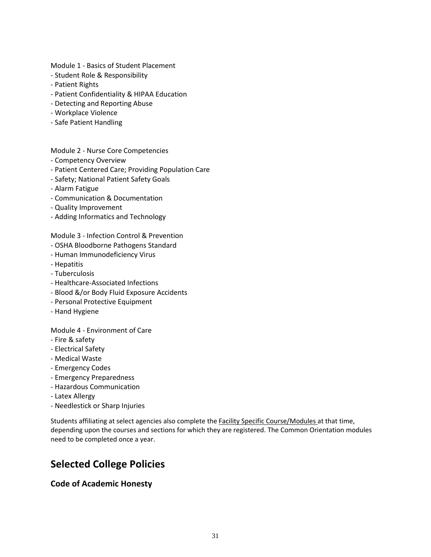Module 1 - Basics of Student Placement

- Student Role & Responsibility
- Patient Rights
- Patient Confidentiality & HIPAA Education
- Detecting and Reporting Abuse
- Workplace Violence
- Safe Patient Handling

Module 2 - Nurse Core Competencies

- Competency Overview
- Patient Centered Care; Providing Population Care
- Safety; National Patient Safety Goals
- Alarm Fatigue
- Communication & Documentation
- Quality Improvement
- Adding Informatics and Technology

Module 3 - Infection Control & Prevention

- OSHA Bloodborne Pathogens Standard
- Human Immunodeficiency Virus
- Hepatitis
- Tuberculosis
- Healthcare-Associated Infections
- Blood &/or Body Fluid Exposure Accidents
- Personal Protective Equipment
- Hand Hygiene

Module 4 - Environment of Care

- Fire & safety
- Electrical Safety
- Medical Waste
- Emergency Codes
- Emergency Preparedness
- Hazardous Communication
- Latex Allergy
- Needlestick or Sharp Injuries

Students affiliating at select agencies also complete the **Facility Specific Course/Modules** at that time, depending upon the courses and sections for which they are registered. The Common Orientation modules need to be completed once a year.

# **Selected College Policies**

#### **Code of Academic Honesty**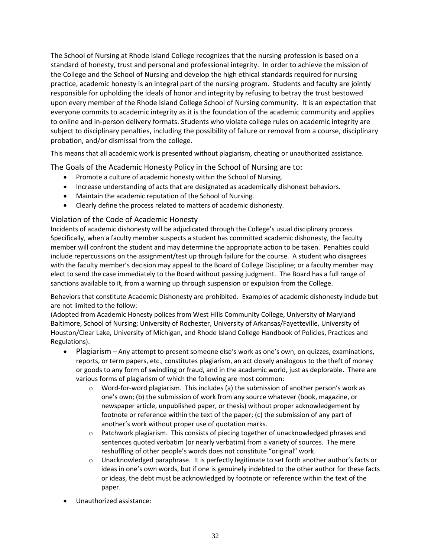The School of Nursing at Rhode Island College recognizes that the nursing profession is based on a standard of honesty, trust and personal and professional integrity. In order to achieve the mission of the College and the School of Nursing and develop the high ethical standards required for nursing practice, academic honesty is an integral part of the nursing program. Students and faculty are jointly responsible for upholding the ideals of honor and integrity by refusing to betray the trust bestowed upon every member of the Rhode Island College School of Nursing community. It is an expectation that everyone commits to academic integrity as it is the foundation of the academic community and applies to online and in-person delivery formats. Students who violate college rules on academic integrity are subject to disciplinary penalties, including the possibility of failure or removal from a course, disciplinary probation, and/or dismissal from the college.

This means that all academic work is presented without plagiarism, cheating or unauthorized assistance.

The Goals of the Academic Honesty Policy in the School of Nursing are to:

- Promote a culture of academic honesty within the School of Nursing.
- Increase understanding of acts that are designated as academically dishonest behaviors.
- Maintain the academic reputation of the School of Nursing.
- Clearly define the process related to matters of academic dishonesty.

#### Violation of the Code of Academic Honesty

Incidents of academic dishonesty will be adjudicated through the College's usual disciplinary process. Specifically, when a faculty member suspects a student has committed academic dishonesty, the faculty member will confront the student and may determine the appropriate action to be taken. Penalties could include repercussions on the assignment/test up through failure for the course. A student who disagrees with the faculty member's decision may appeal to the Board of College Discipline; or a faculty member may elect to send the case immediately to the Board without passing judgment. The Board has a full range of sanctions available to it, from a warning up through suspension or expulsion from the College.

Behaviors that constitute Academic Dishonesty are prohibited. Examples of academic dishonesty include but are not limited to the follow:

(Adopted from Academic Honesty polices from West Hills Community College, University of Maryland Baltimore, School of Nursing; University of Rochester, University of Arkansas/Fayetteville, University of Houston/Clear Lake, University of Michigan, and Rhode Island College Handbook of Policies, Practices and Regulations).

- Plagiarism Any attempt to present someone else's work as one's own, on quizzes, examinations, reports, or term papers, etc., constitutes plagiarism, an act closely analogous to the theft of money or goods to any form of swindling or fraud, and in the academic world, just as deplorable. There are various forms of plagiarism of which the following are most common:
	- $\circ$  Word-for-word plagiarism. This includes (a) the submission of another person's work as one's own; (b) the submission of work from any source whatever (book, magazine, or newspaper article, unpublished paper, or thesis) without proper acknowledgement by footnote or reference within the text of the paper; (c) the submission of any part of another's work without proper use of quotation marks.
	- o Patchwork plagiarism. This consists of piecing together of unacknowledged phrases and sentences quoted verbatim (or nearly verbatim) from a variety of sources. The mere reshuffling of other people's words does not constitute "original" work.
	- o Unacknowledged paraphrase. It is perfectly legitimate to set forth another author's facts or ideas in one's own words, but if one is genuinely indebted to the other author for these facts or ideas, the debt must be acknowledged by footnote or reference within the text of the paper.
- Unauthorized assistance: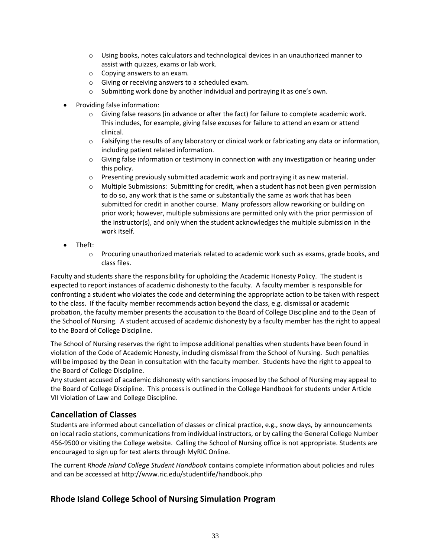- $\circ$  Using books, notes calculators and technological devices in an unauthorized manner to assist with quizzes, exams or lab work.
- o Copying answers to an exam.
- o Giving or receiving answers to a scheduled exam.
- o Submitting work done by another individual and portraying it as one's own.
- Providing false information:
	- $\circ$  Giving false reasons (in advance or after the fact) for failure to complete academic work. This includes, for example, giving false excuses for failure to attend an exam or attend clinical.
	- $\circ$  Falsifying the results of any laboratory or clinical work or fabricating any data or information, including patient related information.
	- $\circ$  Giving false information or testimony in connection with any investigation or hearing under this policy.
	- o Presenting previously submitted academic work and portraying it as new material.
	- o Multiple Submissions: Submitting for credit, when a student has not been given permission to do so, any work that is the same or substantially the same as work that has been submitted for credit in another course. Many professors allow reworking or building on prior work; however, multiple submissions are permitted only with the prior permission of the instructor(s), and only when the student acknowledges the multiple submission in the work itself.
- Theft:
	- $\circ$  Procuring unauthorized materials related to academic work such as exams, grade books, and class files.

Faculty and students share the responsibility for upholding the Academic Honesty Policy. The student is expected to report instances of academic dishonesty to the faculty. A faculty member is responsible for confronting a student who violates the code and determining the appropriate action to be taken with respect to the class. If the faculty member recommends action beyond the class, e.g. dismissal or academic probation, the faculty member presents the accusation to the Board of College Discipline and to the Dean of the School of Nursing. A student accused of academic dishonesty by a faculty member has the right to appeal to the Board of College Discipline.

The School of Nursing reserves the right to impose additional penalties when students have been found in violation of the Code of Academic Honesty, including dismissal from the School of Nursing. Such penalties will be imposed by the Dean in consultation with the faculty member. Students have the right to appeal to the Board of College Discipline.

Any student accused of academic dishonesty with sanctions imposed by the School of Nursing may appeal to the Board of College Discipline. This process is outlined in the College Handbook for students under Article VII Violation of Law and College Discipline.

#### **Cancellation of Classes**

Students are informed about cancellation of classes or clinical practice, e.g., snow days, by announcements on local radio stations, communications from individual instructors, or by calling the General College Number 456-9500 or visiting the College website. Calling the School of Nursing office is not appropriate. Students are encouraged to sign up for text alerts through MyRIC Online.

The current *Rhode Island College Student Handbook* contains complete information about policies and rules and can be accessed at http://www.ric.edu/studentlife/handbook.php

# **Rhode Island College School of Nursing Simulation Program**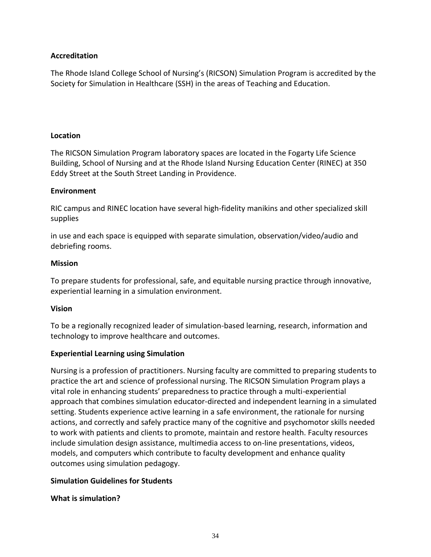# **Accreditation**

The Rhode Island College School of Nursing's (RICSON) Simulation Program is accredited by the Society for Simulation in Healthcare (SSH) in the areas of Teaching and Education.

# **Location**

The RICSON Simulation Program laboratory spaces are located in the Fogarty Life Science Building, School of Nursing and at the Rhode Island Nursing Education Center (RINEC) at 350 Eddy Street at the South Street Landing in Providence.

#### **Environment**

RIC campus and RINEC location have several high-fidelity manikins and other specialized skill supplies

in use and each space is equipped with separate simulation, observation/video/audio and debriefing rooms.

#### **Mission**

To prepare students for professional, safe, and equitable nursing practice through innovative, experiential learning in a simulation environment.

#### **Vision**

To be a regionally recognized leader of simulation-based learning, research, information and technology to improve healthcare and outcomes.

# **Experiential Learning using Simulation**

Nursing is a profession of practitioners. Nursing faculty are committed to preparing students to practice the art and science of professional nursing. The RICSON Simulation Program plays a vital role in enhancing students' preparedness to practice through a multi-experiential approach that combines simulation educator-directed and independent learning in a simulated setting. Students experience active learning in a safe environment, the rationale for nursing actions, and correctly and safely practice many of the cognitive and psychomotor skills needed to work with patients and clients to promote, maintain and restore health. Faculty resources include simulation design assistance, multimedia access to on-line presentations, videos, models, and computers which contribute to faculty development and enhance quality outcomes using simulation pedagogy.

# **Simulation Guidelines for Students**

# **What is simulation?**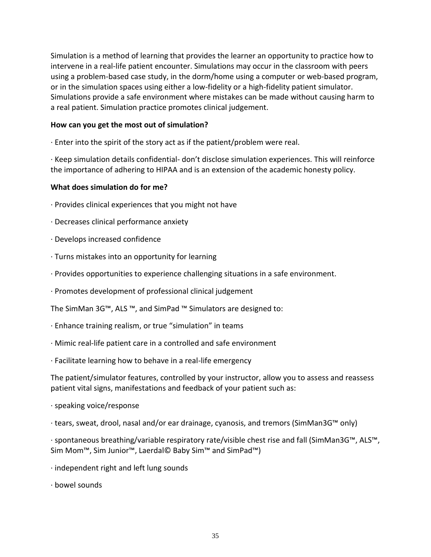Simulation is a method of learning that provides the learner an opportunity to practice how to intervene in a real-life patient encounter. Simulations may occur in the classroom with peers using a problem-based case study, in the dorm/home using a computer or web-based program, or in the simulation spaces using either a low-fidelity or a high-fidelity patient simulator. Simulations provide a safe environment where mistakes can be made without causing harm to a real patient. Simulation practice promotes clinical judgement.

#### **How can you get the most out of simulation?**

· Enter into the spirit of the story act as if the patient/problem were real.

· Keep simulation details confidential- don't disclose simulation experiences. This will reinforce the importance of adhering to HIPAA and is an extension of the academic honesty policy.

#### **What does simulation do for me?**

- · Provides clinical experiences that you might not have
- · Decreases clinical performance anxiety
- · Develops increased confidence
- · Turns mistakes into an opportunity for learning
- · Provides opportunities to experience challenging situations in a safe environment.
- · Promotes development of professional clinical judgement

The SimMan 3G™, ALS ™, and SimPad ™ Simulators are designed to:

- · Enhance training realism, or true "simulation" in teams
- · Mimic real-life patient care in a controlled and safe environment
- · Facilitate learning how to behave in a real-life emergency

The patient/simulator features, controlled by your instructor, allow you to assess and reassess patient vital signs, manifestations and feedback of your patient such as:

- · speaking voice/response
- · tears, sweat, drool, nasal and/or ear drainage, cyanosis, and tremors (SimMan3G™ only)
- · spontaneous breathing/variable respiratory rate/visible chest rise and fall (SimMan3G™, ALS™, Sim Mom™, Sim Junior™, Laerdal© Baby Sim™ and SimPad™)
- · independent right and left lung sounds
- · bowel sounds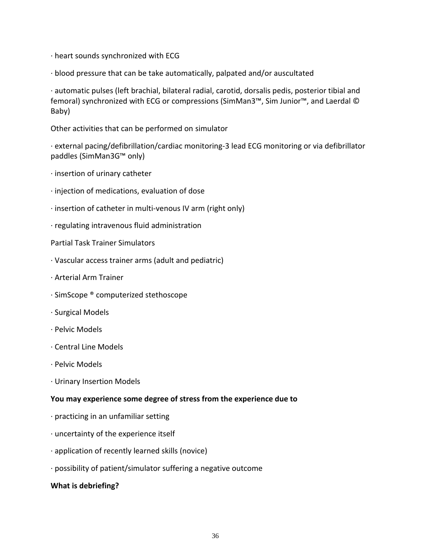- · heart sounds synchronized with ECG
- · blood pressure that can be take automatically, palpated and/or auscultated

· automatic pulses (left brachial, bilateral radial, carotid, dorsalis pedis, posterior tibial and femoral) synchronized with ECG or compressions (SimMan3™, Sim Junior™, and Laerdal © Baby)

Other activities that can be performed on simulator

· external pacing/defibrillation/cardiac monitoring-3 lead ECG monitoring or via defibrillator paddles (SimMan3G™ only)

- · insertion of urinary catheter
- · injection of medications, evaluation of dose
- · insertion of catheter in multi-venous IV arm (right only)
- · regulating intravenous fluid administration
- Partial Task Trainer Simulators
- · Vascular access trainer arms (adult and pediatric)
- · Arterial Arm Trainer
- · SimScope ® computerized stethoscope
- · Surgical Models
- · Pelvic Models
- · Central Line Models
- · Pelvic Models
- · Urinary Insertion Models

#### **You may experience some degree of stress from the experience due to**

- · practicing in an unfamiliar setting
- · uncertainty of the experience itself
- · application of recently learned skills (novice)
- · possibility of patient/simulator suffering a negative outcome

#### **What is debriefing?**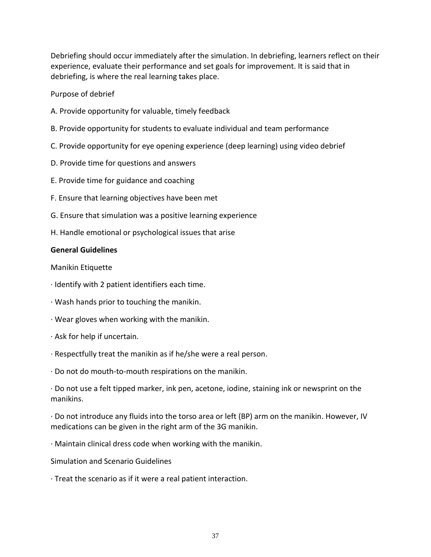Debriefing should occur immediately after the simulation. In debriefing, learners reflect on their experience, evaluate their performance and set goals for improvement. It is said that in debriefing, is where the real learning takes place.

Purpose of debrief

- A. Provide opportunity for valuable, timely feedback
- B. Provide opportunity for students to evaluate individual and team performance
- C. Provide opportunity for eye opening experience (deep learning) using video debrief
- D. Provide time for questions and answers
- E. Provide time for guidance and coaching
- F. Ensure that learning objectives have been met
- G. Ensure that simulation was a positive learning experience
- H. Handle emotional or psychological issues that arise

#### **General Guidelines**

Manikin Etiquette

- · Identify with 2 patient identifiers each time.
- · Wash hands prior to touching the manikin.
- · Wear gloves when working with the manikin.
- · Ask for help if uncertain.
- · Respectfully treat the manikin as if he/she were a real person.
- · Do not do mouth-to-mouth respirations on the manikin.

· Do not use a felt tipped marker, ink pen, acetone, iodine, staining ink or newsprint on the manikins.

· Do not introduce any fluids into the torso area or left (BP) arm on the manikin. However, IV medications can be given in the right arm of the 3G manikin.

· Maintain clinical dress code when working with the manikin.

Simulation and Scenario Guidelines

· Treat the scenario as if it were a real patient interaction.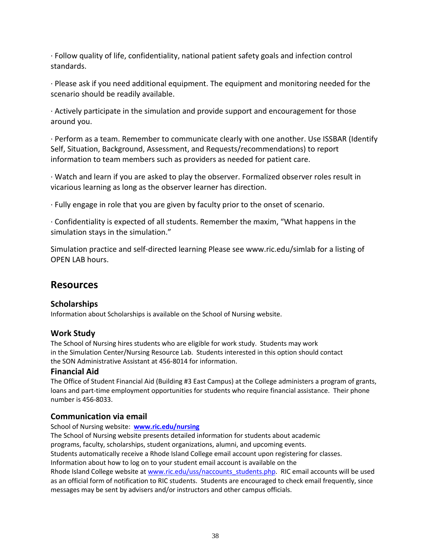· Follow quality of life, confidentiality, national patient safety goals and infection control standards.

· Please ask if you need additional equipment. The equipment and monitoring needed for the scenario should be readily available.

· Actively participate in the simulation and provide support and encouragement for those around you.

· Perform as a team. Remember to communicate clearly with one another. Use ISSBAR (Identify Self, Situation, Background, Assessment, and Requests/recommendations) to report information to team members such as providers as needed for patient care.

· Watch and learn if you are asked to play the observer. Formalized observer roles result in vicarious learning as long as the observer learner has direction.

· Fully engage in role that you are given by faculty prior to the onset of scenario.

· Confidentiality is expected of all students. Remember the maxim, "What happens in the simulation stays in the simulation."

Simulation practice and self-directed learning Please see www.ric.edu/simlab for a listing of OPEN LAB hours.

# **Resources**

# **Scholarships**

Information about Scholarships is available on the School of Nursing website.

# **Work Study**

The School of Nursing hires students who are eligible for work study. Students may work in the Simulation Center/Nursing Resource Lab. Students interested in this option should contact the SON Administrative Assistant at 456-8014 for information.

# **Financial Aid**

The Office of Student Financial Aid (Building #3 East Campus) at the College administers a program of grants, loans and part-time employment opportunities for students who require financial assistance. Their phone number is 456-8033.

# **Communication via email**

# School of Nursing website: **[www.ric.edu/nursing](http://www.ric.edu/nursing)**

The School of Nursing website presents detailed information for students about academic programs, faculty, scholarships, student organizations, alumni, and upcoming events. Students automatically receive a Rhode Island College email account upon registering for classes. Information about how to log on to your student email account is available on the

Rhode Island College website at [www.ric.edu/uss/naccounts\\_students.php.](http://www.ric.edu/uss/naccounts_students.php) RIC email accounts will be used as an official form of notification to RIC students. Students are encouraged to check email frequently, since messages may be sent by advisers and/or instructors and other campus officials.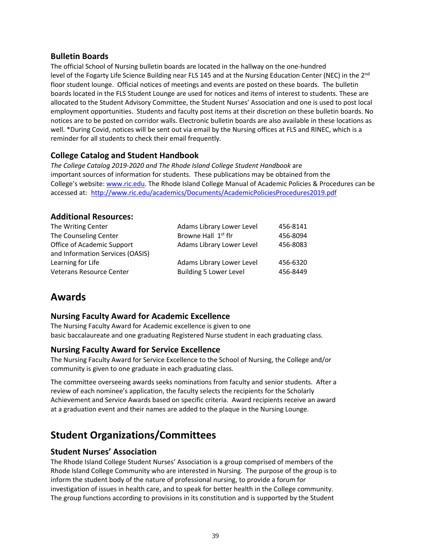#### **Bulletin Boards**

The official School of Nursing bulletin boards are located in the hallway on the one-hundred level of the Fogarty Life Science Building near FLS 145 and at the Nursing Education Center (NEC) in the 2<sup>nd</sup> floor student lounge. Official notices of meetings and events are posted on these boards. The bulletin boards located in the FLS Student Lounge are used for notices and items of interest to students. These are allocated to the Student Advisory Committee, the Student Nurses' Association and one is used to post local employment opportunities. Students and faculty post items at their discretion on these bulletin boards. No notices are to be posted on corridor walls. Electronic bulletin boards are also available in these locations as well. \*During Covid, notices will be sent out via email by the Nursing offices at FLS and RINEC, which is a reminder for all students to check their email frequently.

# **College Catalog and Student Handbook**

*The College Catalog 2019-2020 and The Rhode Island College Student Handbook* are important sources of information for students. These publications may be obtained from the College's website: [www.ric.edu.](http://www.ric.edu/) The Rhode Island College Manual of Academic Policies & Procedures can be accessed at: http://www.ric.edu/academics/Documents/AcademicPoliciesProcedures2019.pdf

# **Additional Resources:**

| The Writing Center               | Adams Library Lower Level       | 456-8141 |
|----------------------------------|---------------------------------|----------|
| The Counseling Center            | Browne Hall 1 <sup>st</sup> flr | 456-8094 |
| Office of Academic Support       | Adams Library Lower Level       | 456-8083 |
| and Information Services (OASIS) |                                 |          |
| Learning for Life                | Adams Library Lower Level       | 456-6320 |
| Veterans Resource Center         | <b>Building 5 Lower Level</b>   | 456-8449 |

# **Awards**

# **Nursing Faculty Award for Academic Excellence**

The Nursing Faculty Award for Academic excellence is given to one basic baccalaureate and one graduating Registered Nurse student in each graduating class.

#### **Nursing Faculty Award for Service Excellence**

The Nursing Faculty Award for Service Excellence to the School of Nursing, the College and/or community is given to one graduate in each graduating class.

The committee overseeing awards seeks nominations from faculty and senior students. After a review of each nominee's application, the faculty selects the recipients for the Scholarly Achievement and Service Awards based on specific criteria. Award recipients receive an award at a graduation event and their names are added to the plaque in the Nursing Lounge.

# **Student Organizations/Committees**

# **Student Nurses' Association**

The Rhode Island College Student Nurses' Association is a group comprised of members of the Rhode Island College Community who are interested in Nursing. The purpose of the group is to inform the student body of the nature of professional nursing, to provide a forum for investigation of issues in health care, and to speak for better health in the College community. The group functions according to provisions in its constitution and is supported by the Student